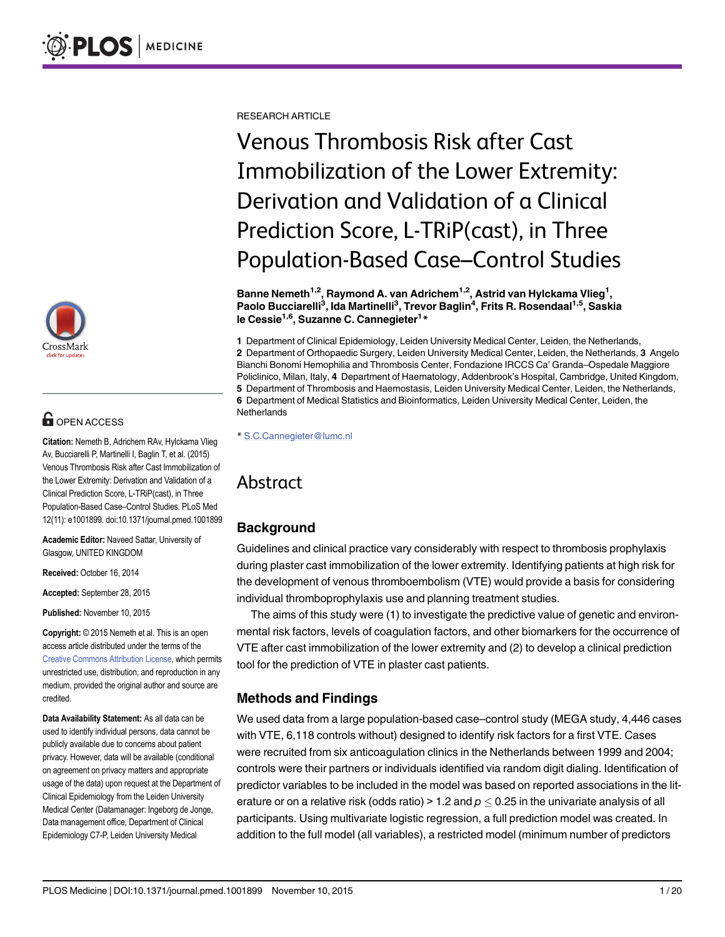

# **OPEN ACCESS**

Citation: Nemeth B, Adrichem RAv, Hylckama Vlieg Av, Bucciarelli P, Martinelli I, Baglin T, et al. (2015) Venous Thrombosis Risk after Cast Immobilization of the Lower Extremity: Derivation and Validation of a Clinical Prediction Score, L-TRiP(cast), in Three Population-Based Case–Control Studies. PLoS Med 12(11): e1001899. doi:10.1371/journal.pmed.1001899

Academic Editor: Naveed Sattar, University of Glasgow, UNITED KINGDOM

Received: October 16, 2014

Accepted: September 28, 2015

Published: November 10, 2015

Copyright: © 2015 Nemeth et al. This is an open access article distributed under the terms of the [Creative Commons Attribution License,](http://creativecommons.org/licenses/by/4.0/) which permits unrestricted use, distribution, and reproduction in any medium, provided the original author and source are credited.

Data Availability Statement: As all data can be used to identify individual persons, data cannot be publicly available due to concerns about patient privacy. However, data will be available (conditional on agreement on privacy matters and appropriate usage of the data) upon request at the Department of Clinical Epidemiology from the Leiden University Medical Center (Datamanager: Ingeborg de Jonge, Data management office, Department of Clinical Epidemiology C7-P, Leiden University Medical

RESEARCH ARTICLE

Venous Thrombosis Risk after Cast Immobilization of the Lower Extremity: Derivation and Validation of a Clinical Prediction Score, L-TRiP(cast), in Three Population-Based Case–Control Studies

Banne Nemeth<sup>1,2</sup>, Raymond A. van Adrichem<sup>1,2</sup>, Astrid van Hylckama Vlieg<sup>1</sup>, Paolo Bucciarelli<sup>3</sup>, Ida Martinelli<sup>3</sup>, Trevor Baglin<sup>4</sup>, Frits R. Rosendaal<sup>1,5</sup>, Saskia le Cessie<sup>1,6</sup>, Suzanne C. Cannegieter<sup>1</sup>\*

1 Department of Clinical Epidemiology, Leiden University Medical Center, Leiden, the Netherlands, 2 Department of Orthopaedic Surgery, Leiden University Medical Center, Leiden, the Netherlands, 3 Angelo Bianchi Bonomi Hemophilia and Thrombosis Center, Fondazione IRCCS Ca' Granda–Ospedale Maggiore Policlinico, Milan, Italy, 4 Department of Haematology, Addenbrook's Hospital, Cambridge, United Kingdom, 5 Department of Thrombosis and Haemostasis, Leiden University Medical Center, Leiden, the Netherlands, 6 Department of Medical Statistics and Bioinformatics, Leiden University Medical Center, Leiden, the **Netherlands** 

\* S.C.Cannegieter@lumc.nl

# Abstract

# **Background**

Guidelines and clinical practice vary considerably with respect to thrombosis prophylaxis during plaster cast immobilization of the lower extremity. Identifying patients at high risk for the development of venous thromboembolism (VTE) would provide a basis for considering individual thromboprophylaxis use and planning treatment studies.

The aims of this study were (1) to investigate the predictive value of genetic and environmental risk factors, levels of coagulation factors, and other biomarkers for the occurrence of VTE after cast immobilization of the lower extremity and (2) to develop a clinical prediction tool for the prediction of VTE in plaster cast patients.

# Methods and Findings

We used data from a large population-based case–control study (MEGA study, 4,446 cases with VTE, 6,118 controls without) designed to identify risk factors for a first VTE. Cases were recruited from six anticoagulation clinics in the Netherlands between 1999 and 2004; controls were their partners or individuals identified via random digit dialing. Identification of predictor variables to be included in the model was based on reported associations in the literature or on a relative risk (odds ratio) > 1.2 and  $p < 0.25$  in the univariate analysis of all participants. Using multivariate logistic regression, a full prediction model was created. In addition to the full model (all variables), a restricted model (minimum number of predictors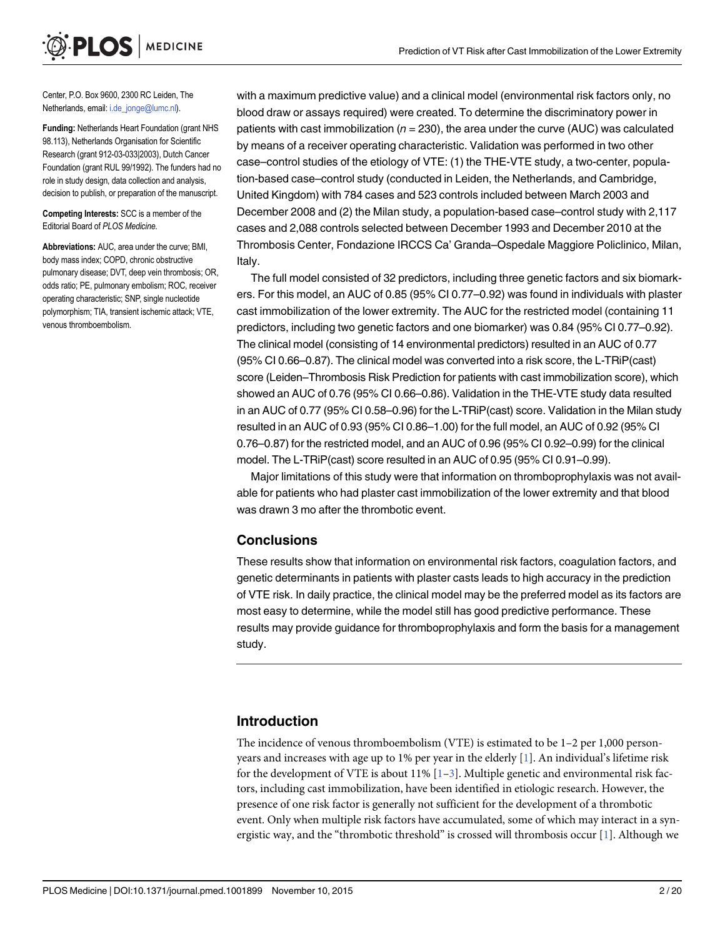Center, P.O. Box 9600, 2300 RC Leiden, The Netherlands, email: i.de\_jonge@lumc.nl).

Funding: Netherlands Heart Foundation (grant NHS 98.113), Netherlands Organisation for Scientific Research (grant 912-03-033|2003), Dutch Cancer Foundation (grant RUL 99/1992). The funders had no role in study design, data collection and analysis, decision to publish, or preparation of the manuscript.

<span id="page-1-0"></span>PLOS | MEDICINE

Competing Interests: SCC is a member of the Editorial Board of PLOS Medicine.

Abbreviations: AUC, area under the curve; BMI, body mass index; COPD, chronic obstructive pulmonary disease; DVT, deep vein thrombosis; OR, odds ratio; PE, pulmonary embolism; ROC, receiver operating characteristic; SNP, single nucleotide polymorphism; TIA, transient ischemic attack; VTE, venous thromboembolism.

with a maximum predictive value) and a clinical model (environmental risk factors only, no blood draw or assays required) were created. To determine the discriminatory power in patients with cast immobilization ( $n = 230$ ), the area under the curve (AUC) was calculated by means of a receiver operating characteristic. Validation was performed in two other case–control studies of the etiology of VTE: (1) the THE-VTE study, a two-center, population-based case–control study (conducted in Leiden, the Netherlands, and Cambridge, United Kingdom) with 784 cases and 523 controls included between March 2003 and December 2008 and (2) the Milan study, a population-based case–control study with 2,117 cases and 2,088 controls selected between December 1993 and December 2010 at the Thrombosis Center, Fondazione IRCCS Ca' Granda–Ospedale Maggiore Policlinico, Milan, Italy.

The full model consisted of 32 predictors, including three genetic factors and six biomarkers. For this model, an AUC of 0.85 (95% CI 0.77–0.92) was found in individuals with plaster cast immobilization of the lower extremity. The AUC for the restricted model (containing 11 predictors, including two genetic factors and one biomarker) was 0.84 (95% CI 0.77–0.92). The clinical model (consisting of 14 environmental predictors) resulted in an AUC of 0.77 (95% CI 0.66–0.87). The clinical model was converted into a risk score, the L-TRiP(cast) score (Leiden–Thrombosis Risk Prediction for patients with cast immobilization score), which showed an AUC of 0.76 (95% CI 0.66–0.86). Validation in the THE-VTE study data resulted in an AUC of 0.77 (95% CI 0.58–0.96) for the L-TRiP(cast) score. Validation in the Milan study resulted in an AUC of 0.93 (95% CI 0.86–1.00) for the full model, an AUC of 0.92 (95% CI 0.76–0.87) for the restricted model, and an AUC of 0.96 (95% CI 0.92–0.99) for the clinical model. The L-TRiP(cast) score resulted in an AUC of 0.95 (95% CI 0.91–0.99).

Major limitations of this study were that information on thromboprophylaxis was not available for patients who had plaster cast immobilization of the lower extremity and that blood was drawn 3 mo after the thrombotic event.

### **Conclusions**

These results show that information on environmental risk factors, coagulation factors, and genetic determinants in patients with plaster casts leads to high accuracy in the prediction of VTE risk. In daily practice, the clinical model may be the preferred model as its factors are most easy to determine, while the model still has good predictive performance. These results may provide guidance for thromboprophylaxis and form the basis for a management study.

# Introduction

The incidence of venous thromboembolism (VTE) is estimated to be 1–2 per 1,000 personyears and increases with age up to 1% per year in the elderly [\[1\]](#page-16-0). An individual's lifetime risk for the development of VTE is about 11%  $[1–3]$  $[1–3]$  $[1–3]$  $[1–3]$ . Multiple genetic and environmental risk factors, including cast immobilization, have been identified in etiologic research. However, the presence of one risk factor is generally not sufficient for the development of a thrombotic event. Only when multiple risk factors have accumulated, some of which may interact in a synergistic way, and the "thrombotic threshold" is crossed will thrombosis occur  $[1]$  $[1]$  $[1]$ . Although we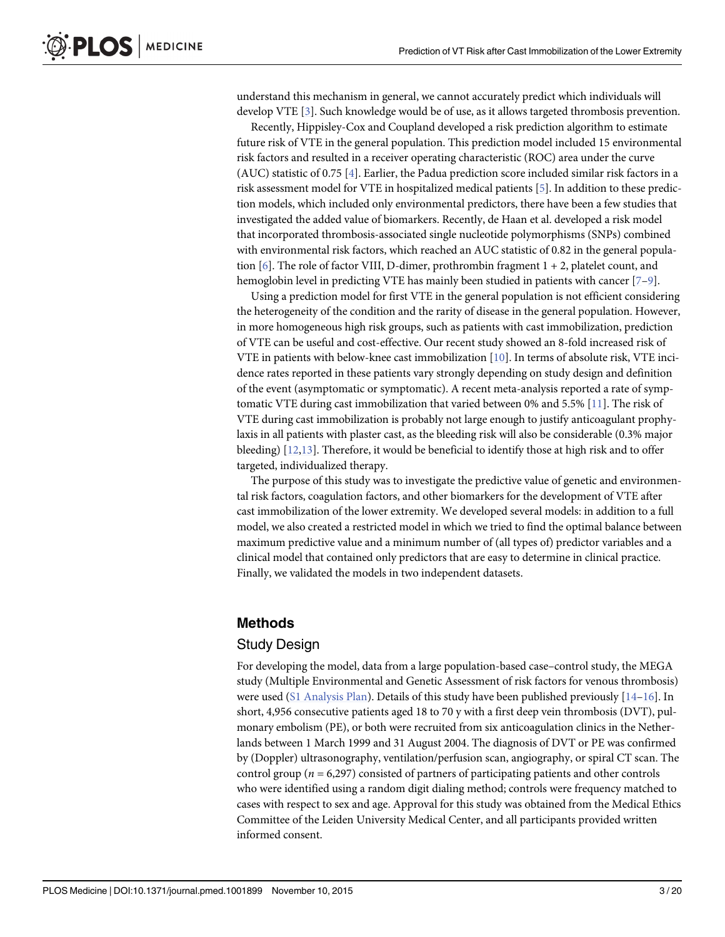<span id="page-2-0"></span>understand this mechanism in general, we cannot accurately predict which individuals will develop VTE [\[3](#page-16-0)]. Such knowledge would be of use, as it allows targeted thrombosis prevention.

Recently, Hippisley-Cox and Coupland developed a risk prediction algorithm to estimate future risk of VTE in the general population. This prediction model included 15 environmental risk factors and resulted in a receiver operating characteristic (ROC) area under the curve (AUC) statistic of 0.75 [[4](#page-16-0)]. Earlier, the Padua prediction score included similar risk factors in a risk assessment model for VTE in hospitalized medical patients [[5](#page-16-0)]. In addition to these prediction models, which included only environmental predictors, there have been a few studies that investigated the added value of biomarkers. Recently, de Haan et al. developed a risk model that incorporated thrombosis-associated single nucleotide polymorphisms (SNPs) combined with environmental risk factors, which reached an AUC statistic of 0.82 in the general population  $[6]$  $[6]$  $[6]$ . The role of factor VIII, D-dimer, prothrombin fragment  $1 + 2$ , platelet count, and hemoglobin level in predicting VTE has mainly been studied in patients with cancer [\[7](#page-16-0)–[9\]](#page-16-0).

Using a prediction model for first VTE in the general population is not efficient considering the heterogeneity of the condition and the rarity of disease in the general population. However, in more homogeneous high risk groups, such as patients with cast immobilization, prediction of VTE can be useful and cost-effective. Our recent study showed an 8-fold increased risk of VTE in patients with below-knee cast immobilization [[10\]](#page-16-0). In terms of absolute risk, VTE incidence rates reported in these patients vary strongly depending on study design and definition of the event (asymptomatic or symptomatic). A recent meta-analysis reported a rate of symptomatic VTE during cast immobilization that varied between 0% and 5.5%  $[11]$  $[11]$  $[11]$ . The risk of VTE during cast immobilization is probably not large enough to justify anticoagulant prophylaxis in all patients with plaster cast, as the bleeding risk will also be considerable (0.3% major bleeding)  $[12,13]$  $[12,13]$  $[12,13]$  $[12,13]$  $[12,13]$ . Therefore, it would be beneficial to identify those at high risk and to offer targeted, individualized therapy.

The purpose of this study was to investigate the predictive value of genetic and environmental risk factors, coagulation factors, and other biomarkers for the development of VTE after cast immobilization of the lower extremity. We developed several models: in addition to a full model, we also created a restricted model in which we tried to find the optimal balance between maximum predictive value and a minimum number of (all types of) predictor variables and a clinical model that contained only predictors that are easy to determine in clinical practice. Finally, we validated the models in two independent datasets.

# Methods

### Study Design

For developing the model, data from a large population-based case–control study, the MEGA study (Multiple Environmental and Genetic Assessment of risk factors for venous thrombosis) were used ([S1 Analysis Plan](#page-15-0)). Details of this study have been published previously  $[14-16]$  $[14-16]$  $[14-16]$ . In short, 4,956 consecutive patients aged 18 to 70 y with a first deep vein thrombosis (DVT), pulmonary embolism (PE), or both were recruited from six anticoagulation clinics in the Netherlands between 1 March 1999 and 31 August 2004. The diagnosis of DVT or PE was confirmed by (Doppler) ultrasonography, ventilation/perfusion scan, angiography, or spiral CT scan. The control group ( $n = 6,297$ ) consisted of partners of participating patients and other controls who were identified using a random digit dialing method; controls were frequency matched to cases with respect to sex and age. Approval for this study was obtained from the Medical Ethics Committee of the Leiden University Medical Center, and all participants provided written informed consent.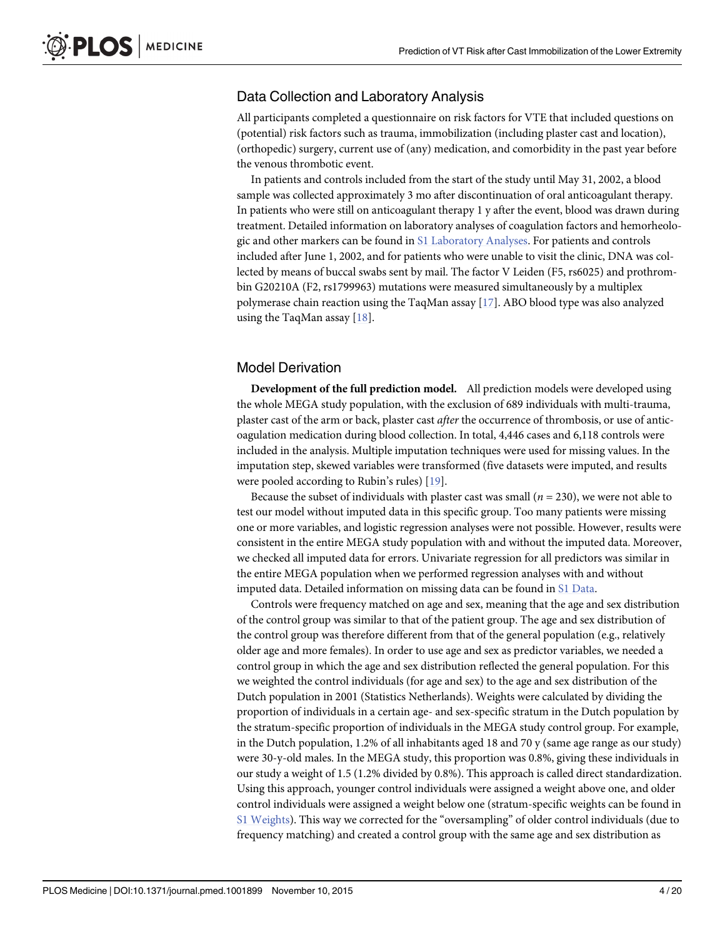## <span id="page-3-0"></span>Data Collection and Laboratory Analysis

All participants completed a questionnaire on risk factors for VTE that included questions on (potential) risk factors such as trauma, immobilization (including plaster cast and location), (orthopedic) surgery, current use of (any) medication, and comorbidity in the past year before the venous thrombotic event.

In patients and controls included from the start of the study until May 31, 2002, a blood sample was collected approximately 3 mo after discontinuation of oral anticoagulant therapy. In patients who were still on anticoagulant therapy 1 y after the event, blood was drawn during treatment. Detailed information on laboratory analyses of coagulation factors and hemorheologic and other markers can be found in [S1 Laboratory Analyses.](#page-15-0) For patients and controls included after June 1, 2002, and for patients who were unable to visit the clinic, DNA was collected by means of buccal swabs sent by mail. The factor V Leiden (F5, rs6025) and prothrombin G20210A (F2, rs1799963) mutations were measured simultaneously by a multiplex polymerase chain reaction using the TaqMan assay [[17](#page-17-0)]. ABO blood type was also analyzed using the TaqMan assay  $[18]$ .

### Model Derivation

Development of the full prediction model. All prediction models were developed using the whole MEGA study population, with the exclusion of 689 individuals with multi-trauma, plaster cast of the arm or back, plaster cast *after* the occurrence of thrombosis, or use of anticoagulation medication during blood collection. In total, 4,446 cases and 6,118 controls were included in the analysis. Multiple imputation techniques were used for missing values. In the imputation step, skewed variables were transformed (five datasets were imputed, and results were pooled according to Rubin's rules) [[19](#page-17-0)].

Because the subset of individuals with plaster cast was small  $(n = 230)$ , we were not able to test our model without imputed data in this specific group. Too many patients were missing one or more variables, and logistic regression analyses were not possible. However, results were consistent in the entire MEGA study population with and without the imputed data. Moreover, we checked all imputed data for errors. Univariate regression for all predictors was similar in the entire MEGA population when we performed regression analyses with and without imputed data. Detailed information on missing data can be found in [S1 Data](#page-15-0).

Controls were frequency matched on age and sex, meaning that the age and sex distribution of the control group was similar to that of the patient group. The age and sex distribution of the control group was therefore different from that of the general population (e.g., relatively older age and more females). In order to use age and sex as predictor variables, we needed a control group in which the age and sex distribution reflected the general population. For this we weighted the control individuals (for age and sex) to the age and sex distribution of the Dutch population in 2001 (Statistics Netherlands). Weights were calculated by dividing the proportion of individuals in a certain age- and sex-specific stratum in the Dutch population by the stratum-specific proportion of individuals in the MEGA study control group. For example, in the Dutch population, 1.2% of all inhabitants aged 18 and 70 y (same age range as our study) were 30-y-old males. In the MEGA study, this proportion was 0.8%, giving these individuals in our study a weight of 1.5 (1.2% divided by 0.8%). This approach is called direct standardization. Using this approach, younger control individuals were assigned a weight above one, and older control individuals were assigned a weight below one (stratum-specific weights can be found in [S1 Weights\)](#page-15-0). This way we corrected for the "oversampling" of older control individuals (due to frequency matching) and created a control group with the same age and sex distribution as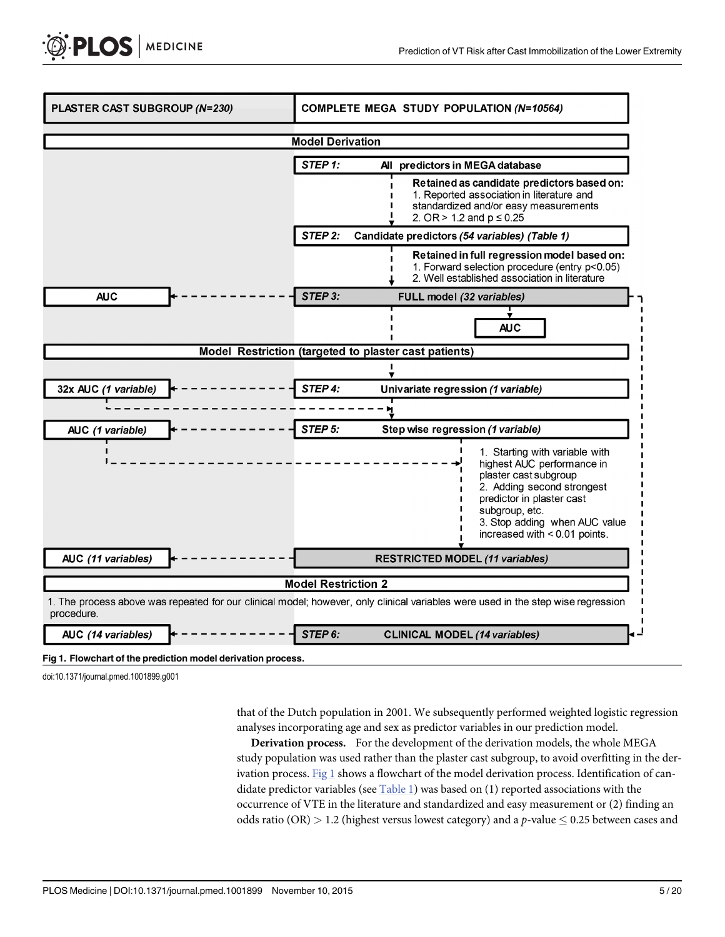<span id="page-4-0"></span>

 $\overline{\text{OS}}$  MEDICINE

doi:10.1371/journal.pmed.1001899.g001

that of the Dutch population in 2001. We subsequently performed weighted logistic regression analyses incorporating age and sex as predictor variables in our prediction model.

Derivation process. For the development of the derivation models, the whole MEGA study population was used rather than the plaster cast subgroup, to avoid overfitting in the derivation process. Fig  $1$  shows a flowchart of the model derivation process. Identification of candidate predictor variables (see  $Table 1$ ) was based on (1) reported associations with the occurrence of VTE in the literature and standardized and easy measurement or (2) finding an odds ratio (OR) > 1.2 (highest versus lowest category) and a p-value  $\leq$  0.25 between cases and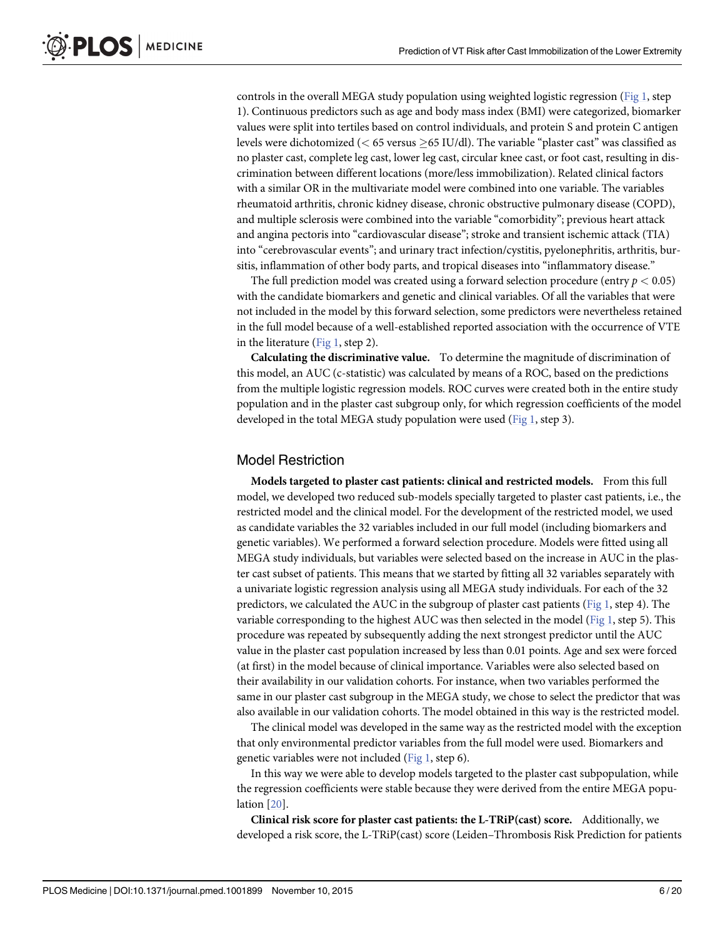<span id="page-5-0"></span>controls in the overall MEGA study population using weighted logistic regression [\(Fig 1,](#page-4-0) step 1). Continuous predictors such as age and body mass index (BMI) were categorized, biomarker values were split into tertiles based on control individuals, and protein S and protein C antigen levels were dichotomized ( $<$  65 versus  $\geq$  65 IU/dl). The variable "plaster cast" was classified as no plaster cast, complete leg cast, lower leg cast, circular knee cast, or foot cast, resulting in discrimination between different locations (more/less immobilization). Related clinical factors with a similar OR in the multivariate model were combined into one variable. The variables rheumatoid arthritis, chronic kidney disease, chronic obstructive pulmonary disease (COPD), and multiple sclerosis were combined into the variable "comorbidity"; previous heart attack and angina pectoris into "cardiovascular disease"; stroke and transient ischemic attack (TIA) into "cerebrovascular events"; and urinary tract infection/cystitis, pyelonephritis, arthritis, bursitis, inflammation of other body parts, and tropical diseases into "inflammatory disease."

The full prediction model was created using a forward selection procedure (entry  $p < 0.05$ ) with the candidate biomarkers and genetic and clinical variables. Of all the variables that were not included in the model by this forward selection, some predictors were nevertheless retained in the full model because of a well-established reported association with the occurrence of VTE in the literature ([Fig 1](#page-4-0), step 2).

Calculating the discriminative value. To determine the magnitude of discrimination of this model, an AUC (c-statistic) was calculated by means of a ROC, based on the predictions from the multiple logistic regression models. ROC curves were created both in the entire study population and in the plaster cast subgroup only, for which regression coefficients of the model developed in the total MEGA study population were used ( $Fig 1$  $Fig 1$  $Fig 1$ , step 3).</u>

### Model Restriction

Models targeted to plaster cast patients: clinical and restricted models. From this full model, we developed two reduced sub-models specially targeted to plaster cast patients, i.e., the restricted model and the clinical model. For the development of the restricted model, we used as candidate variables the 32 variables included in our full model (including biomarkers and genetic variables). We performed a forward selection procedure. Models were fitted using all MEGA study individuals, but variables were selected based on the increase in AUC in the plaster cast subset of patients. This means that we started by fitting all 32 variables separately with a univariate logistic regression analysis using all MEGA study individuals. For each of the 32 predictors, we calculated the AUC in the subgroup of plaster cast patients ([Fig 1,](#page-4-0) step 4). The variable corresponding to the highest AUC was then selected in the model [\(Fig 1,](#page-4-0) step 5). This procedure was repeated by subsequently adding the next strongest predictor until the AUC value in the plaster cast population increased by less than 0.01 points. Age and sex were forced (at first) in the model because of clinical importance. Variables were also selected based on their availability in our validation cohorts. For instance, when two variables performed the same in our plaster cast subgroup in the MEGA study, we chose to select the predictor that was also available in our validation cohorts. The model obtained in this way is the restricted model.

The clinical model was developed in the same way as the restricted model with the exception that only environmental predictor variables from the full model were used. Biomarkers and genetic variables were not included [\(Fig 1,](#page-4-0) step 6).

In this way we were able to develop models targeted to the plaster cast subpopulation, while the regression coefficients were stable because they were derived from the entire MEGA population [[20](#page-17-0)].

Clinical risk score for plaster cast patients: the L-TRiP(cast) score. Additionally, we developed a risk score, the L-TRiP(cast) score (Leiden–Thrombosis Risk Prediction for patients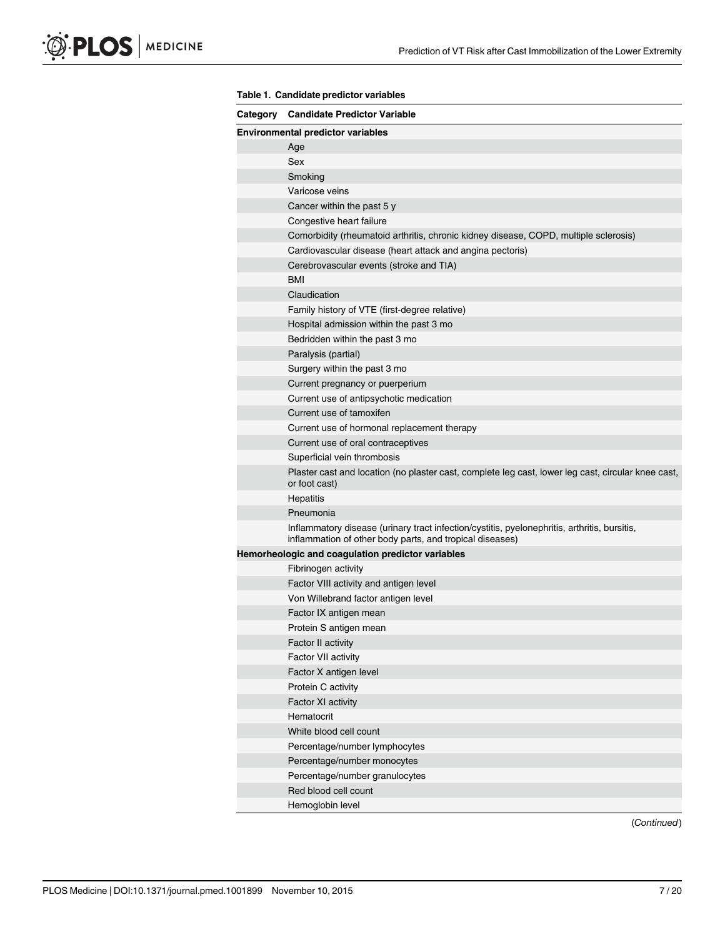<span id="page-6-0"></span>

| Category Candidate Predictor Variable                                                                                                                    |
|----------------------------------------------------------------------------------------------------------------------------------------------------------|
| <b>Environmental predictor variables</b>                                                                                                                 |
| Age                                                                                                                                                      |
| Sex                                                                                                                                                      |
| Smoking                                                                                                                                                  |
| Varicose veins                                                                                                                                           |
| Cancer within the past 5 y                                                                                                                               |
| Congestive heart failure                                                                                                                                 |
| Comorbidity (rheumatoid arthritis, chronic kidney disease, COPD, multiple sclerosis)                                                                     |
| Cardiovascular disease (heart attack and angina pectoris)                                                                                                |
| Cerebrovascular events (stroke and TIA)                                                                                                                  |
| <b>BMI</b>                                                                                                                                               |
| Claudication                                                                                                                                             |
| Family history of VTE (first-degree relative)                                                                                                            |
| Hospital admission within the past 3 mo                                                                                                                  |
| Bedridden within the past 3 mo                                                                                                                           |
| Paralysis (partial)                                                                                                                                      |
| Surgery within the past 3 mo                                                                                                                             |
| Current pregnancy or puerperium                                                                                                                          |
| Current use of antipsychotic medication                                                                                                                  |
| Current use of tamoxifen                                                                                                                                 |
| Current use of hormonal replacement therapy                                                                                                              |
| Current use of oral contraceptives                                                                                                                       |
| Superficial vein thrombosis                                                                                                                              |
| Plaster cast and location (no plaster cast, complete leg cast, lower leg cast, circular knee cast,<br>or foot cast)                                      |
| Hepatitis                                                                                                                                                |
| Pneumonia                                                                                                                                                |
| Inflammatory disease (urinary tract infection/cystitis, pyelonephritis, arthritis, bursitis,<br>inflammation of other body parts, and tropical diseases) |
| Hemorheologic and coagulation predictor variables                                                                                                        |
| Fibrinogen activity                                                                                                                                      |
| Factor VIII activity and antigen level                                                                                                                   |
| Von Willebrand factor antigen level                                                                                                                      |
| Factor IX antigen mean                                                                                                                                   |
| Protein S antigen mean                                                                                                                                   |
| Factor II activity                                                                                                                                       |
| Factor VII activity                                                                                                                                      |
| Factor X antigen level                                                                                                                                   |
| Protein C activity                                                                                                                                       |
| Factor XI activity                                                                                                                                       |
| Hematocrit                                                                                                                                               |
| White blood cell count                                                                                                                                   |
| Percentage/number lymphocytes                                                                                                                            |
| Percentage/number monocytes                                                                                                                              |
| Percentage/number granulocytes                                                                                                                           |
| Red blood cell count                                                                                                                                     |
| Hemoglobin level                                                                                                                                         |

(Continued)

| Table 1. Candidate predictor variables |  |
|----------------------------------------|--|
|----------------------------------------|--|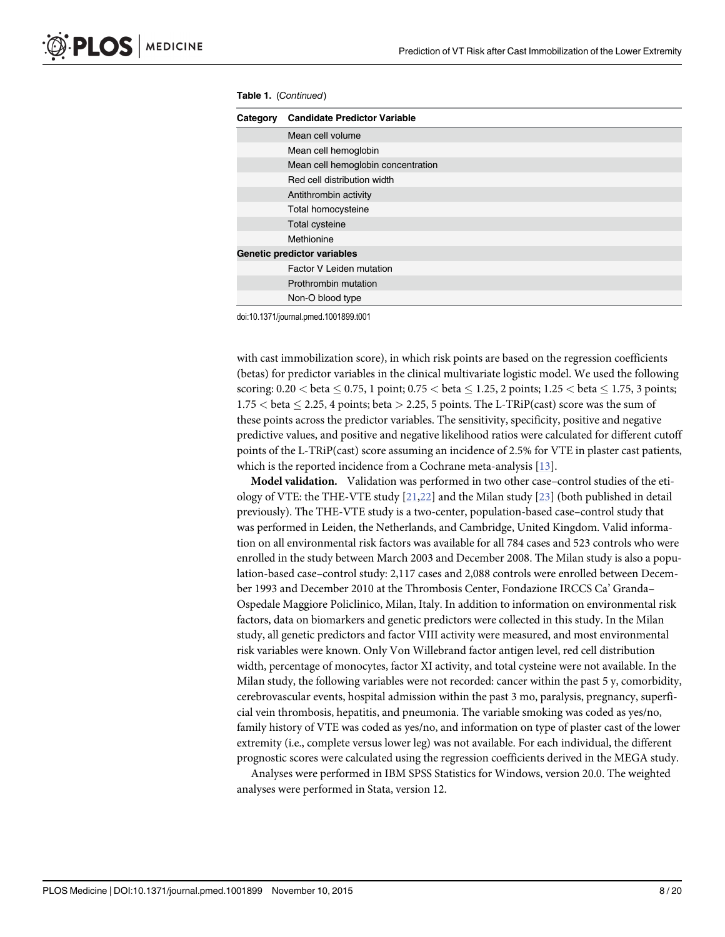<span id="page-7-0"></span>

| Category | <b>Candidate Predictor Variable</b> |  |  |  |  |
|----------|-------------------------------------|--|--|--|--|
|          | Mean cell volume                    |  |  |  |  |
|          | Mean cell hemoglobin                |  |  |  |  |
|          | Mean cell hemoglobin concentration  |  |  |  |  |
|          | Red cell distribution width         |  |  |  |  |
|          | Antithrombin activity               |  |  |  |  |
|          | Total homocysteine                  |  |  |  |  |
|          | Total cysteine                      |  |  |  |  |
|          | Methionine                          |  |  |  |  |
|          | <b>Genetic predictor variables</b>  |  |  |  |  |
|          | Factor V Leiden mutation            |  |  |  |  |
|          | Prothrombin mutation                |  |  |  |  |
|          | Non-O blood type                    |  |  |  |  |

doi:10.1371/journal.pmed.1001899.t001

with cast immobilization score), in which risk points are based on the regression coefficients (betas) for predictor variables in the clinical multivariate logistic model. We used the following scoring:  $0.20 < \text{beta} \le 0.75$ , 1 point;  $0.75 < \text{beta} \le 1.25$ , 2 points;  $1.25 < \text{beta} \le 1.75$ , 3 points;  $1.75 <$  beta  $\leq$  2.25, 4 points; beta  $>$  2.25, 5 points. The L-TRiP(cast) score was the sum of these points across the predictor variables. The sensitivity, specificity, positive and negative predictive values, and positive and negative likelihood ratios were calculated for different cutoff points of the L-TRiP(cast) score assuming an incidence of 2.5% for VTE in plaster cast patients, which is the reported incidence from a Cochrane meta-analysis [\[13](#page-17-0)].

Model validation. Validation was performed in two other case–control studies of the etiology of VTE: the THE-VTE study [\[21,22](#page-17-0)] and the Milan study [\[23\]](#page-17-0) (both published in detail previously). The THE-VTE study is a two-center, population-based case–control study that was performed in Leiden, the Netherlands, and Cambridge, United Kingdom. Valid information on all environmental risk factors was available for all 784 cases and 523 controls who were enrolled in the study between March 2003 and December 2008. The Milan study is also a population-based case–control study: 2,117 cases and 2,088 controls were enrolled between December 1993 and December 2010 at the Thrombosis Center, Fondazione IRCCS Ca' Granda– Ospedale Maggiore Policlinico, Milan, Italy. In addition to information on environmental risk factors, data on biomarkers and genetic predictors were collected in this study. In the Milan study, all genetic predictors and factor VIII activity were measured, and most environmental risk variables were known. Only Von Willebrand factor antigen level, red cell distribution width, percentage of monocytes, factor XI activity, and total cysteine were not available. In the Milan study, the following variables were not recorded: cancer within the past 5 y, comorbidity, cerebrovascular events, hospital admission within the past 3 mo, paralysis, pregnancy, superficial vein thrombosis, hepatitis, and pneumonia. The variable smoking was coded as yes/no, family history of VTE was coded as yes/no, and information on type of plaster cast of the lower extremity (i.e., complete versus lower leg) was not available. For each individual, the different prognostic scores were calculated using the regression coefficients derived in the MEGA study.

Analyses were performed in IBM SPSS Statistics for Windows, version 20.0. The weighted analyses were performed in Stata, version 12.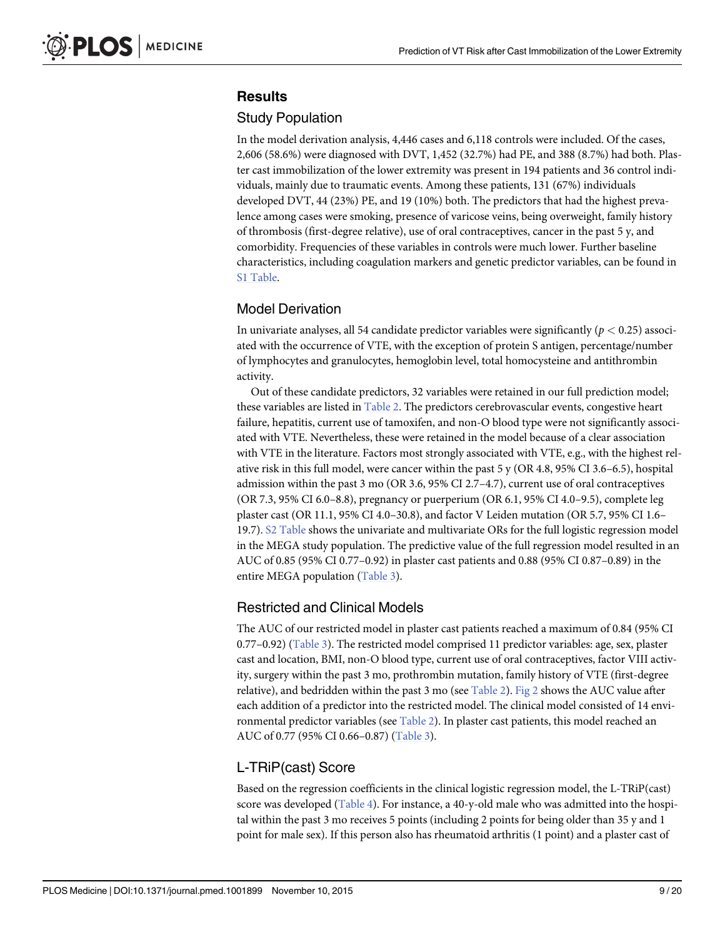## <span id="page-8-0"></span>**Results**

### Study Population

In the model derivation analysis, 4,446 cases and 6,118 controls were included. Of the cases, 2,606 (58.6%) were diagnosed with DVT, 1,452 (32.7%) had PE, and 388 (8.7%) had both. Plaster cast immobilization of the lower extremity was present in 194 patients and 36 control individuals, mainly due to traumatic events. Among these patients, 131 (67%) individuals developed DVT, 44 (23%) PE, and 19 (10%) both. The predictors that had the highest prevalence among cases were smoking, presence of varicose veins, being overweight, family history of thrombosis (first-degree relative), use of oral contraceptives, cancer in the past 5 y, and comorbidity. Frequencies of these variables in controls were much lower. Further baseline characteristics, including coagulation markers and genetic predictor variables, can be found in [S1 Table.](#page-15-0)

### Model Derivation

In univariate analyses, all 54 candidate predictor variables were significantly ( $p < 0.25$ ) associated with the occurrence of VTE, with the exception of protein S antigen, percentage/number of lymphocytes and granulocytes, hemoglobin level, total homocysteine and antithrombin activity.

Out of these candidate predictors, 32 variables were retained in our full prediction model; these variables are listed in [Table 2.](#page-9-0) The predictors cerebrovascular events, congestive heart failure, hepatitis, current use of tamoxifen, and non-O blood type were not significantly associated with VTE. Nevertheless, these were retained in the model because of a clear association with VTE in the literature. Factors most strongly associated with VTE, e.g., with the highest relative risk in this full model, were cancer within the past 5 y (OR 4.8, 95% CI 3.6–6.5), hospital admission within the past 3 mo (OR 3.6, 95% CI 2.7–4.7), current use of oral contraceptives (OR 7.3, 95% CI 6.0–8.8), pregnancy or puerperium (OR 6.1, 95% CI 4.0–9.5), complete leg plaster cast (OR 11.1, 95% CI 4.0–30.8), and factor V Leiden mutation (OR 5.7, 95% CI 1.6– 19.7). [S2 Table](#page-15-0) shows the univariate and multivariate ORs for the full logistic regression model in the MEGA study population. The predictive value of the full regression model resulted in an AUC of 0.85 (95% CI 0.77–0.92) in plaster cast patients and 0.88 (95% CI 0.87–0.89) in the entire MEGA population [\(Table 3](#page-9-0)).

### Restricted and Clinical Models

The AUC of our restricted model in plaster cast patients reached a maximum of 0.84 (95% CI 0.77–0.92) [\(Table 3\)](#page-9-0). The restricted model comprised 11 predictor variables: age, sex, plaster cast and location, BMI, non-O blood type, current use of oral contraceptives, factor VIII activity, surgery within the past 3 mo, prothrombin mutation, family history of VTE (first-degree relative), and bedridden within the past 3 mo (see [Table 2](#page-9-0)). [Fig 2](#page-10-0) shows the AUC value after each addition of a predictor into the restricted model. The clinical model consisted of 14 environmental predictor variables (see  $Table 2$ ). In plaster cast patients, this model reached an AUC of 0.77 (95% CI 0.66–0.87) [\(Table 3](#page-9-0)).

## L-TRiP(cast) Score

Based on the regression coefficients in the clinical logistic regression model, the L-TRiP(cast) score was developed ([Table 4\)](#page-10-0). For instance, a 40-y-old male who was admitted into the hospital within the past 3 mo receives 5 points (including 2 points for being older than 35 y and 1 point for male sex). If this person also has rheumatoid arthritis (1 point) and a plaster cast of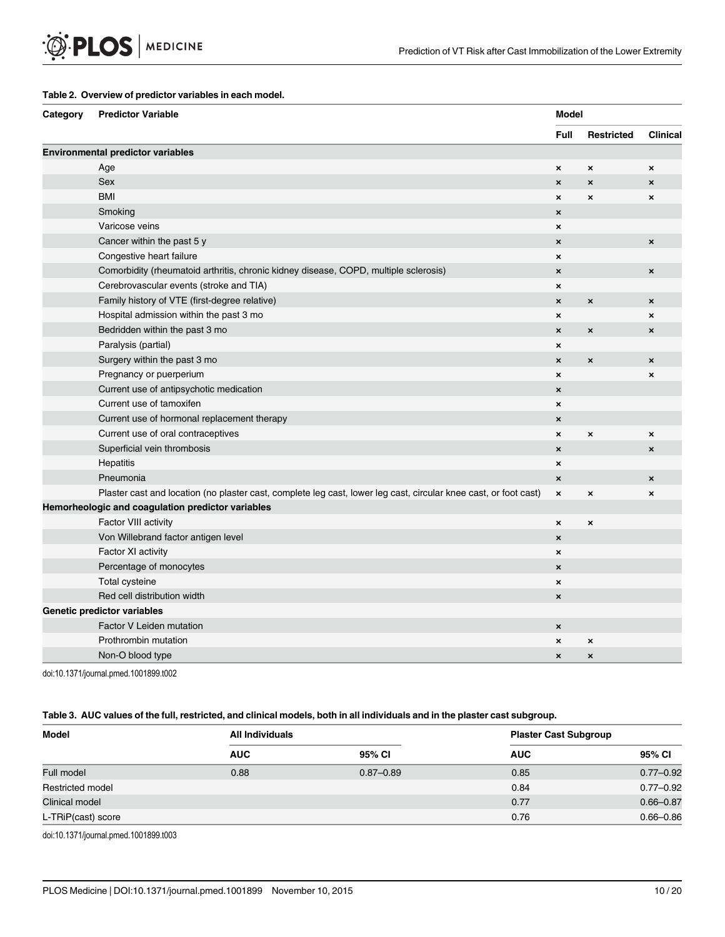## <span id="page-9-0"></span>[Table 2.](#page-8-0) Overview of predictor variables in each model.

| Category | <b>Predictor Variable</b>                                                                                        |                           | Model                     |                           |  |
|----------|------------------------------------------------------------------------------------------------------------------|---------------------------|---------------------------|---------------------------|--|
|          |                                                                                                                  | <b>Full</b>               | Restricted                | <b>Clinical</b>           |  |
|          | <b>Environmental predictor variables</b>                                                                         |                           |                           |                           |  |
|          | Age                                                                                                              | $\boldsymbol{\mathsf{x}}$ | $\boldsymbol{\mathsf{x}}$ | ×                         |  |
|          | Sex                                                                                                              | $\boldsymbol{\mathsf{x}}$ | $\pmb{\times}$            | $\boldsymbol{\mathsf{x}}$ |  |
|          | <b>BMI</b>                                                                                                       | $\pmb{\times}$            | $\pmb{\times}$            | $\pmb{\times}$            |  |
|          | Smoking                                                                                                          | $\boldsymbol{\mathsf{x}}$ |                           |                           |  |
|          | Varicose veins                                                                                                   | $\boldsymbol{\mathsf{x}}$ |                           |                           |  |
|          | Cancer within the past 5 y                                                                                       | $\boldsymbol{\mathsf{x}}$ |                           | $\boldsymbol{\mathsf{x}}$ |  |
|          | Congestive heart failure                                                                                         | $\boldsymbol{\mathsf{x}}$ |                           |                           |  |
|          | Comorbidity (rheumatoid arthritis, chronic kidney disease, COPD, multiple sclerosis)                             | $\boldsymbol{\mathsf{x}}$ |                           | $\boldsymbol{\mathsf{x}}$ |  |
|          | Cerebrovascular events (stroke and TIA)                                                                          | $\boldsymbol{\mathsf{x}}$ |                           |                           |  |
|          | Family history of VTE (first-degree relative)                                                                    | $\boldsymbol{\mathsf{x}}$ | $\pmb{\times}$            | $\boldsymbol{\mathsf{x}}$ |  |
|          | Hospital admission within the past 3 mo                                                                          | $\boldsymbol{\mathsf{x}}$ |                           | ×                         |  |
|          | Bedridden within the past 3 mo                                                                                   | $\pmb{\times}$            | $\pmb{\times}$            | $\boldsymbol{\mathsf{x}}$ |  |
|          | Paralysis (partial)                                                                                              | $\pmb{\times}$            |                           |                           |  |
|          | Surgery within the past 3 mo                                                                                     | $\boldsymbol{\mathsf{x}}$ | $\pmb{\times}$            | $\boldsymbol{\mathsf{x}}$ |  |
|          | Pregnancy or puerperium                                                                                          | $\boldsymbol{\mathsf{x}}$ |                           | $\mathsf{x}$              |  |
|          | Current use of antipsychotic medication                                                                          | $\boldsymbol{\mathsf{x}}$ |                           |                           |  |
|          | Current use of tamoxifen                                                                                         | $\boldsymbol{\mathsf{x}}$ |                           |                           |  |
|          | Current use of hormonal replacement therapy                                                                      | $\boldsymbol{\mathsf{x}}$ |                           |                           |  |
|          | Current use of oral contraceptives                                                                               | $\boldsymbol{\mathsf{x}}$ | $\pmb{\times}$            | $\boldsymbol{\mathsf{x}}$ |  |
|          | Superficial vein thrombosis                                                                                      | $\pmb{\times}$            |                           | $\boldsymbol{\mathsf{x}}$ |  |
|          | Hepatitis                                                                                                        | $\boldsymbol{\mathsf{x}}$ |                           |                           |  |
|          | Pneumonia                                                                                                        | $\pmb{\times}$            |                           | $\boldsymbol{\mathsf{x}}$ |  |
|          | Plaster cast and location (no plaster cast, complete leg cast, lower leg cast, circular knee cast, or foot cast) | $\pmb{\times}$            | $\pmb{\times}$            | $\pmb{\times}$            |  |
|          | Hemorheologic and coagulation predictor variables                                                                |                           |                           |                           |  |
|          | Factor VIII activity                                                                                             | $\pmb{\times}$            | $\pmb{\times}$            |                           |  |
|          | Von Willebrand factor antigen level                                                                              | $\boldsymbol{\mathsf{x}}$ |                           |                           |  |
|          | Factor XI activity                                                                                               | $\boldsymbol{\mathsf{x}}$ |                           |                           |  |
|          | Percentage of monocytes                                                                                          | $\boldsymbol{\mathsf{x}}$ |                           |                           |  |
|          | Total cysteine                                                                                                   | $\times$                  |                           |                           |  |
|          | Red cell distribution width                                                                                      | $\pmb{\times}$            |                           |                           |  |
|          | Genetic predictor variables                                                                                      |                           |                           |                           |  |
|          | Factor V Leiden mutation                                                                                         | $\pmb{\times}$            |                           |                           |  |
|          | Prothrombin mutation                                                                                             | $\pmb{\times}$            | $\pmb{\times}$            |                           |  |
|          | Non-O blood type                                                                                                 | $\pmb{\times}$            | $\pmb{\times}$            |                           |  |

doi:10.1371/journal.pmed.1001899.t002

### [Table 3.](#page-8-0) AUC values of the full, restricted, and clinical models, both in all individuals and in the plaster cast subgroup.

| Model              | <b>All Individuals</b> |               | <b>Plaster Cast Subgroup</b> |               |
|--------------------|------------------------|---------------|------------------------------|---------------|
|                    | <b>AUC</b>             | 95% CI        | <b>AUC</b>                   | 95% CI        |
| Full model         | 0.88                   | $0.87 - 0.89$ | 0.85                         | $0.77 - 0.92$ |
| Restricted model   |                        |               | 0.84                         | $0.77 - 0.92$ |
| Clinical model     |                        |               | 0.77                         | $0.66 - 0.87$ |
| L-TRiP(cast) score |                        |               | 0.76                         | $0.66 - 0.86$ |

doi:10.1371/journal.pmed.1001899.t003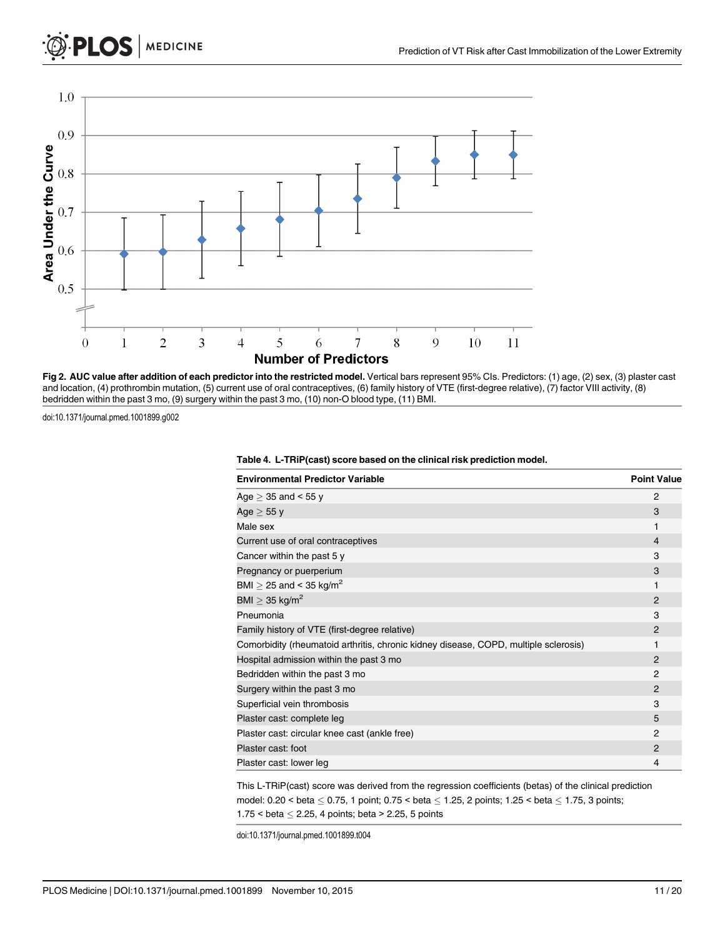<span id="page-10-0"></span>

[Fig 2. A](#page-8-0)UC value after addition of each predictor into the restricted model. Vertical bars represent 95% CIs. Predictors: (1) age, (2) sex, (3) plaster cast and location, (4) prothrombin mutation, (5) current use of oral contraceptives, (6) family history of VTE (first-degree relative), (7) factor VIII activity, (8) bedridden within the past 3 mo, (9) surgery within the past 3 mo, (10) non-O blood type, (11) BMI.

doi:10.1371/journal.pmed.1001899.g002

| <b>Environmental Predictor Variable</b>                                              | <b>Point Value</b> |
|--------------------------------------------------------------------------------------|--------------------|
| Age $\geq$ 35 and < 55 y                                                             | 2                  |
| Age $>$ 55 y                                                                         | 3                  |
| Male sex                                                                             | 1                  |
| Current use of oral contraceptives                                                   | $\overline{4}$     |
| Cancer within the past 5 y                                                           | 3                  |
| Pregnancy or puerperium                                                              | 3                  |
| BMI $>$ 25 and < 35 kg/m <sup>2</sup>                                                | 1                  |
| BMI $\geq$ 35 kg/m <sup>2</sup>                                                      | 2                  |
| Pneumonia                                                                            | 3                  |
| Family history of VTE (first-degree relative)                                        | 2                  |
| Comorbidity (rheumatoid arthritis, chronic kidney disease, COPD, multiple sclerosis) | 1                  |
| Hospital admission within the past 3 mo                                              | 2                  |
| Bedridden within the past 3 mo                                                       | 2                  |
| Surgery within the past 3 mo                                                         | 2                  |
| Superficial vein thrombosis                                                          | 3                  |
| Plaster cast: complete leg                                                           | 5                  |
| Plaster cast: circular knee cast (ankle free)                                        | $\overline{2}$     |
| Plaster cast: foot                                                                   | $\overline{2}$     |
| Plaster cast: lower leg                                                              | 4                  |

This L-TRiP(cast) score was derived from the regression coefficients (betas) of the clinical prediction model:  $0.20 <$  beta  $\leq 0.75$ , 1 point;  $0.75 <$  beta  $\leq 1.25$ , 2 points;  $1.25 <$  beta  $\leq 1.75$ , 3 points; 1.75 < beta  $\leq$  2.25, 4 points; beta > 2.25, 5 points

doi:10.1371/journal.pmed.1001899.t004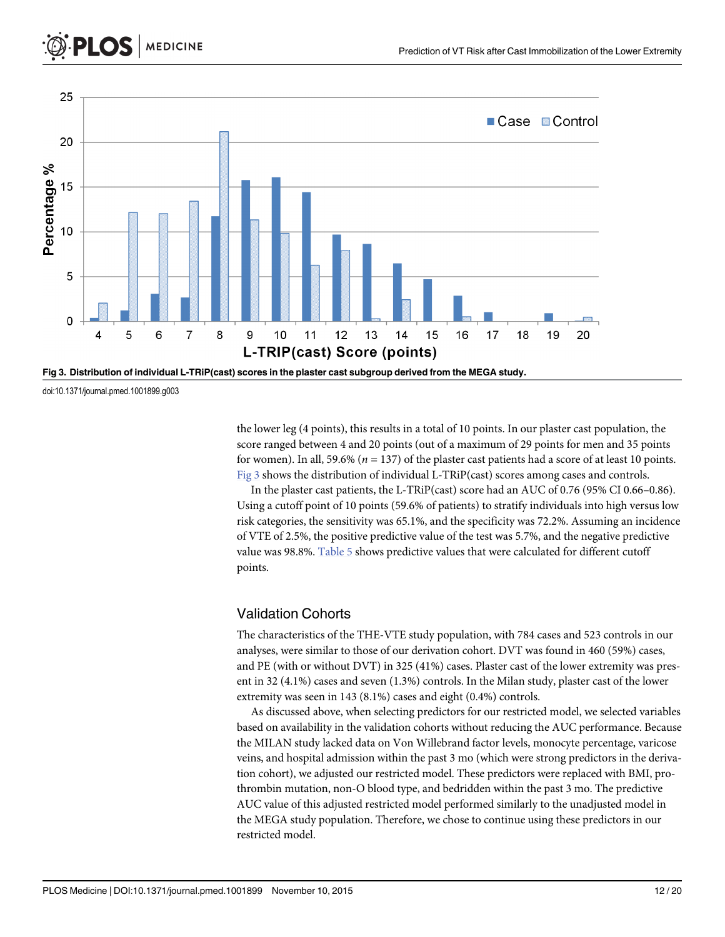<span id="page-11-0"></span>

doi:10.1371/journal.pmed.1001899.g003

**MEDICINE** 

OSI

the lower leg (4 points), this results in a total of 10 points. In our plaster cast population, the score ranged between 4 and 20 points (out of a maximum of 29 points for men and 35 points for women). In all, 59.6% ( $n = 137$ ) of the plaster cast patients had a score of at least 10 points. Fig 3 shows the distribution of individual L-TRiP(cast) scores among cases and controls.

In the plaster cast patients, the L-TRiP(cast) score had an AUC of 0.76 (95% CI 0.66–0.86). Using a cutoff point of 10 points (59.6% of patients) to stratify individuals into high versus low risk categories, the sensitivity was 65.1%, and the specificity was 72.2%. Assuming an incidence of VTE of 2.5%, the positive predictive value of the test was 5.7%, and the negative predictive value was 98.8%. [Table 5](#page-12-0) shows predictive values that were calculated for different cutoff points.

### Validation Cohorts

The characteristics of the THE-VTE study population, with 784 cases and 523 controls in our analyses, were similar to those of our derivation cohort. DVT was found in 460 (59%) cases, and PE (with or without DVT) in 325 (41%) cases. Plaster cast of the lower extremity was present in 32 (4.1%) cases and seven (1.3%) controls. In the Milan study, plaster cast of the lower extremity was seen in 143 (8.1%) cases and eight (0.4%) controls.

As discussed above, when selecting predictors for our restricted model, we selected variables based on availability in the validation cohorts without reducing the AUC performance. Because the MILAN study lacked data on Von Willebrand factor levels, monocyte percentage, varicose veins, and hospital admission within the past 3 mo (which were strong predictors in the derivation cohort), we adjusted our restricted model. These predictors were replaced with BMI, prothrombin mutation, non-O blood type, and bedridden within the past 3 mo. The predictive AUC value of this adjusted restricted model performed similarly to the unadjusted model in the MEGA study population. Therefore, we chose to continue using these predictors in our restricted model.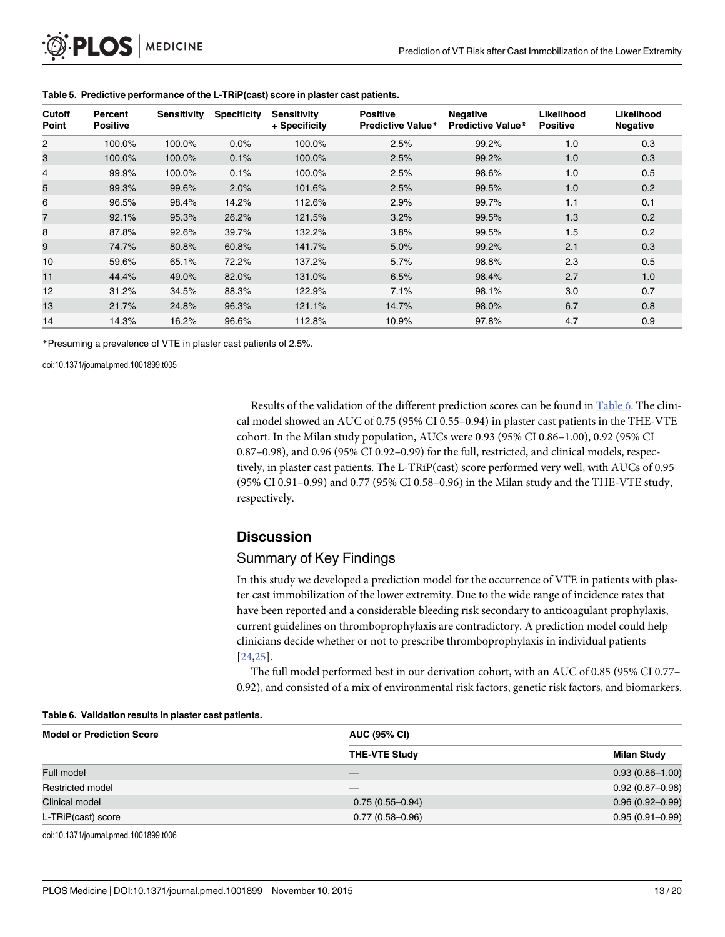| Percent         | <b>Sensitivity</b> |                    |                                     |                                             |                                             |                               |                               |
|-----------------|--------------------|--------------------|-------------------------------------|---------------------------------------------|---------------------------------------------|-------------------------------|-------------------------------|
| <b>Positive</b> |                    | <b>Specificity</b> | <b>Sensitivity</b><br>+ Specificity | <b>Positive</b><br><b>Predictive Value*</b> | <b>Negative</b><br><b>Predictive Value*</b> | Likelihood<br><b>Positive</b> | Likelihood<br><b>Negative</b> |
| 100.0%          | 100.0%             | 0.0%               | 100.0%                              | 2.5%                                        | 99.2%                                       | 1.0                           | 0.3                           |
| 100.0%          | 100.0%             | 0.1%               | 100.0%                              | 2.5%                                        | 99.2%                                       | 1.0                           | 0.3                           |
| 99.9%           | 100.0%             | 0.1%               | 100.0%                              | 2.5%                                        | 98.6%                                       | 1.0                           | 0.5                           |
| 99.3%           | 99.6%              | 2.0%               | 101.6%                              | 2.5%                                        | 99.5%                                       | 1.0                           | 0.2                           |
| 96.5%           | 98.4%              | 14.2%              | 112.6%                              | 2.9%                                        | 99.7%                                       | 1.1                           | 0.1                           |
| 92.1%           | 95.3%              | 26.2%              | 121.5%                              | 3.2%                                        | 99.5%                                       | 1.3                           | 0.2                           |
| 87.8%           | 92.6%              | 39.7%              | 132.2%                              | 3.8%                                        | 99.5%                                       | 1.5                           | 0.2                           |
| 74.7%           | 80.8%              | 60.8%              | 141.7%                              | 5.0%                                        | 99.2%                                       | 2.1                           | 0.3                           |
| 59.6%           | 65.1%              | 72.2%              | 137.2%                              | 5.7%                                        | 98.8%                                       | 2.3                           | 0.5                           |
| 44.4%           | 49.0%              | 82.0%              | 131.0%                              | 6.5%                                        | 98.4%                                       | 2.7                           | 1.0                           |
| 31.2%           | 34.5%              | 88.3%              | 122.9%                              | 7.1%                                        | 98.1%                                       | 3.0                           | 0.7                           |
| 21.7%           | 24.8%              | 96.3%              | 121.1%                              | 14.7%                                       | 98.0%                                       | 6.7                           | 0.8                           |
| 14.3%           | 16.2%              | 96.6%              | 112.8%                              | 10.9%                                       | 97.8%                                       | 4.7                           | 0.9                           |
|                 |                    |                    |                                     |                                             |                                             |                               |                               |

#### <span id="page-12-0"></span>[Table 5.](#page-11-0) Predictive performance of the L-TRiP(cast) score in plaster cast patients.

\*Presuming a prevalence of VTE in plaster cast patients of 2.5%.

doi:10.1371/journal.pmed.1001899.t005

Results of the validation of the different prediction scores can be found in Table 6. The clinical model showed an AUC of 0.75 (95% CI 0.55–0.94) in plaster cast patients in the THE-VTE cohort. In the Milan study population, AUCs were 0.93 (95% CI 0.86–1.00), 0.92 (95% CI 0.87–0.98), and 0.96 (95% CI 0.92–0.99) for the full, restricted, and clinical models, respectively, in plaster cast patients. The L-TRiP(cast) score performed very well, with AUCs of 0.95 (95% CI 0.91–0.99) and 0.77 (95% CI 0.58–0.96) in the Milan study and the THE-VTE study, respectively.

# **Discussion**

### Summary of Key Findings

In this study we developed a prediction model for the occurrence of VTE in patients with plaster cast immobilization of the lower extremity. Due to the wide range of incidence rates that have been reported and a considerable bleeding risk secondary to anticoagulant prophylaxis, current guidelines on thromboprophylaxis are contradictory. A prediction model could help clinicians decide whether or not to prescribe thromboprophylaxis in individual patients [\[24,25\]](#page-17-0).

The full model performed best in our derivation cohort, with an AUC of 0.85 (95% CI 0.77– 0.92), and consisted of a mix of environmental risk factors, genetic risk factors, and biomarkers.

| <b>Model or Prediction Score</b> | <b>AUC (95% CI)</b>  |                     |  |  |  |
|----------------------------------|----------------------|---------------------|--|--|--|
|                                  | <b>THE-VTE Study</b> | <b>Milan Study</b>  |  |  |  |
| Full model                       | __                   | $0.93(0.86 - 1.00)$ |  |  |  |
| Restricted model                 | _                    | $0.92(0.87 - 0.98)$ |  |  |  |
| Clinical model                   | $0.75(0.55 - 0.94)$  | $0.96(0.92 - 0.99)$ |  |  |  |
| L-TRiP(cast) score               | $0.77(0.58 - 0.96)$  | $0.95(0.91 - 0.99)$ |  |  |  |
|                                  |                      |                     |  |  |  |

Table 6. Validation results in plaster cast patients.

doi:10.1371/journal.pmed.1001899.t006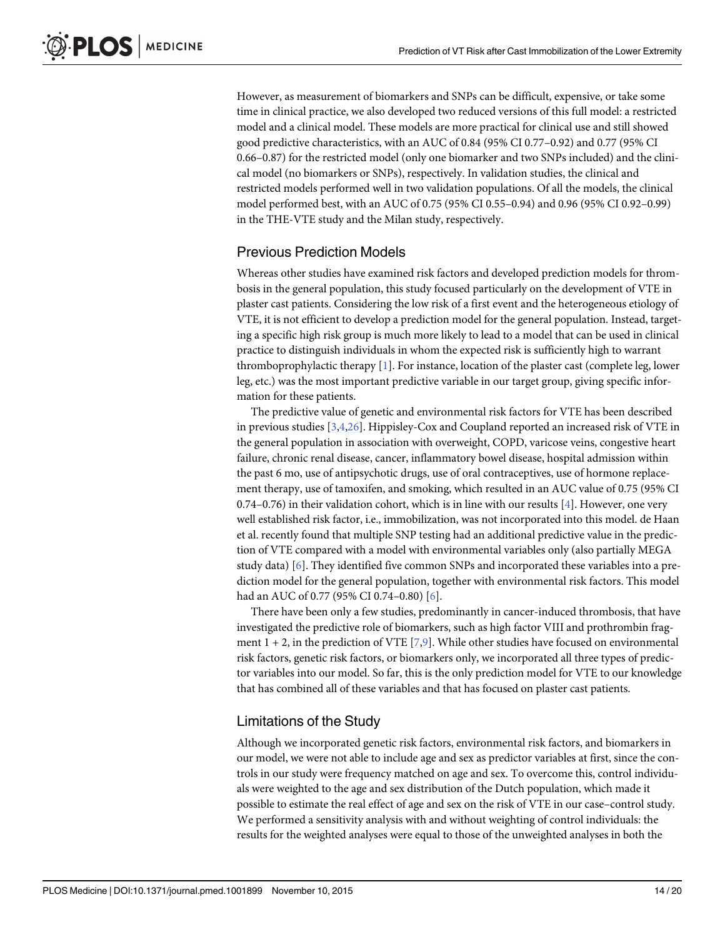<span id="page-13-0"></span>However, as measurement of biomarkers and SNPs can be difficult, expensive, or take some time in clinical practice, we also developed two reduced versions of this full model: a restricted model and a clinical model. These models are more practical for clinical use and still showed good predictive characteristics, with an AUC of 0.84 (95% CI 0.77–0.92) and 0.77 (95% CI 0.66–0.87) for the restricted model (only one biomarker and two SNPs included) and the clinical model (no biomarkers or SNPs), respectively. In validation studies, the clinical and restricted models performed well in two validation populations. Of all the models, the clinical model performed best, with an AUC of 0.75 (95% CI 0.55–0.94) and 0.96 (95% CI 0.92–0.99) in the THE-VTE study and the Milan study, respectively.

### Previous Prediction Models

Whereas other studies have examined risk factors and developed prediction models for thrombosis in the general population, this study focused particularly on the development of VTE in plaster cast patients. Considering the low risk of a first event and the heterogeneous etiology of VTE, it is not efficient to develop a prediction model for the general population. Instead, targeting a specific high risk group is much more likely to lead to a model that can be used in clinical practice to distinguish individuals in whom the expected risk is sufficiently high to warrant thromboprophylactic therapy  $[1]$ . For instance, location of the plaster cast (complete leg, lower leg, etc.) was the most important predictive variable in our target group, giving specific information for these patients.

The predictive value of genetic and environmental risk factors for VTE has been described in previous studies [[3](#page-16-0),[4](#page-16-0),[26](#page-17-0)]. Hippisley-Cox and Coupland reported an increased risk of VTE in the general population in association with overweight, COPD, varicose veins, congestive heart failure, chronic renal disease, cancer, inflammatory bowel disease, hospital admission within the past 6 mo, use of antipsychotic drugs, use of oral contraceptives, use of hormone replacement therapy, use of tamoxifen, and smoking, which resulted in an AUC value of 0.75 (95% CI 0.74–0.76) in their validation cohort, which is in line with our results  $[4]$ . However, one very well established risk factor, i.e., immobilization, was not incorporated into this model. de Haan et al. recently found that multiple SNP testing had an additional predictive value in the prediction of VTE compared with a model with environmental variables only (also partially MEGA study data) [[6\]](#page-16-0). They identified five common SNPs and incorporated these variables into a prediction model for the general population, together with environmental risk factors. This model had an AUC of 0.77 (95% CI 0.74–0.80) [\[6\]](#page-16-0).

There have been only a few studies, predominantly in cancer-induced thrombosis, that have investigated the predictive role of biomarkers, such as high factor VIII and prothrombin fragment  $1 + 2$ , in the prediction of VTE  $[7, 9]$ . While other studies have focused on environmental risk factors, genetic risk factors, or biomarkers only, we incorporated all three types of predictor variables into our model. So far, this is the only prediction model for VTE to our knowledge that has combined all of these variables and that has focused on plaster cast patients.

# Limitations of the Study

Although we incorporated genetic risk factors, environmental risk factors, and biomarkers in our model, we were not able to include age and sex as predictor variables at first, since the controls in our study were frequency matched on age and sex. To overcome this, control individuals were weighted to the age and sex distribution of the Dutch population, which made it possible to estimate the real effect of age and sex on the risk of VTE in our case–control study. We performed a sensitivity analysis with and without weighting of control individuals: the results for the weighted analyses were equal to those of the unweighted analyses in both the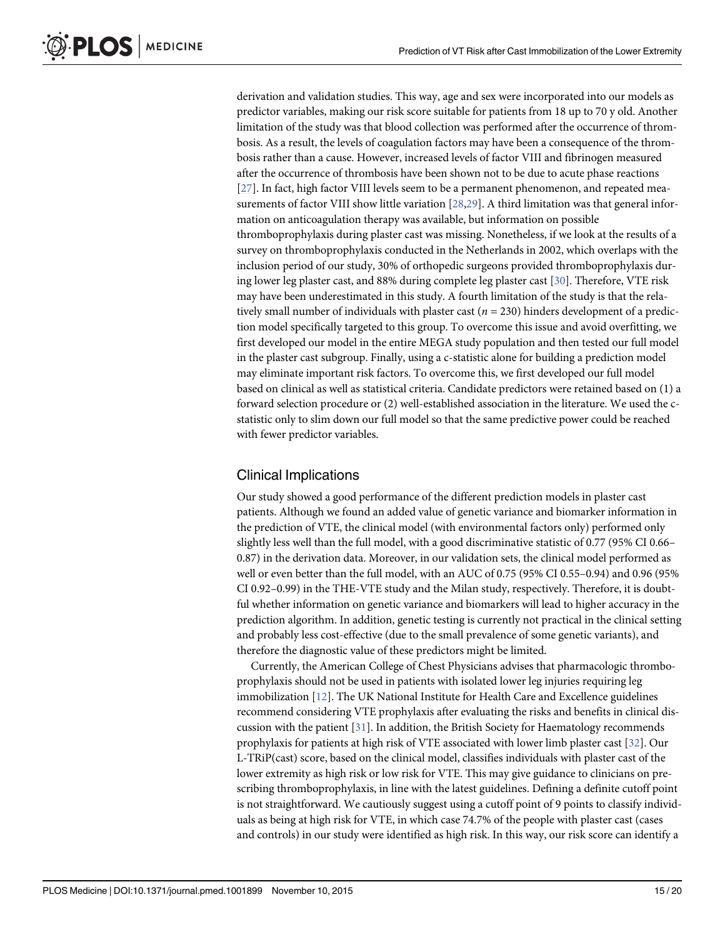<span id="page-14-0"></span>derivation and validation studies. This way, age and sex were incorporated into our models as predictor variables, making our risk score suitable for patients from 18 up to 70 y old. Another limitation of the study was that blood collection was performed after the occurrence of thrombosis. As a result, the levels of coagulation factors may have been a consequence of the thrombosis rather than a cause. However, increased levels of factor VIII and fibrinogen measured after the occurrence of thrombosis have been shown not to be due to acute phase reactions [\[27](#page-17-0)]. In fact, high factor VIII levels seem to be a permanent phenomenon, and repeated measurements of factor VIII show little variation [\[28,29\]](#page-17-0). A third limitation was that general information on anticoagulation therapy was available, but information on possible thromboprophylaxis during plaster cast was missing. Nonetheless, if we look at the results of a survey on thromboprophylaxis conducted in the Netherlands in 2002, which overlaps with the inclusion period of our study, 30% of orthopedic surgeons provided thromboprophylaxis during lower leg plaster cast, and 88% during complete leg plaster cast [\[30\]](#page-17-0). Therefore, VTE risk may have been underestimated in this study. A fourth limitation of the study is that the relatively small number of individuals with plaster cast ( $n = 230$ ) hinders development of a prediction model specifically targeted to this group. To overcome this issue and avoid overfitting, we first developed our model in the entire MEGA study population and then tested our full model in the plaster cast subgroup. Finally, using a c-statistic alone for building a prediction model may eliminate important risk factors. To overcome this, we first developed our full model based on clinical as well as statistical criteria. Candidate predictors were retained based on (1) a forward selection procedure or (2) well-established association in the literature. We used the cstatistic only to slim down our full model so that the same predictive power could be reached with fewer predictor variables.

# Clinical Implications

Our study showed a good performance of the different prediction models in plaster cast patients. Although we found an added value of genetic variance and biomarker information in the prediction of VTE, the clinical model (with environmental factors only) performed only slightly less well than the full model, with a good discriminative statistic of 0.77 (95% CI 0.66– 0.87) in the derivation data. Moreover, in our validation sets, the clinical model performed as well or even better than the full model, with an AUC of 0.75 (95% CI 0.55–0.94) and 0.96 (95% CI 0.92–0.99) in the THE-VTE study and the Milan study, respectively. Therefore, it is doubtful whether information on genetic variance and biomarkers will lead to higher accuracy in the prediction algorithm. In addition, genetic testing is currently not practical in the clinical setting and probably less cost-effective (due to the small prevalence of some genetic variants), and therefore the diagnostic value of these predictors might be limited.

Currently, the American College of Chest Physicians advises that pharmacologic thromboprophylaxis should not be used in patients with isolated lower leg injuries requiring leg immobilization [[12](#page-16-0)]. The UK National Institute for Health Care and Excellence guidelines recommend considering VTE prophylaxis after evaluating the risks and benefits in clinical discussion with the patient [\[31\]](#page-17-0). In addition, the British Society for Haematology recommends prophylaxis for patients at high risk of VTE associated with lower limb plaster cast [[32\]](#page-17-0). Our L-TRiP(cast) score, based on the clinical model, classifies individuals with plaster cast of the lower extremity as high risk or low risk for VTE. This may give guidance to clinicians on prescribing thromboprophylaxis, in line with the latest guidelines. Defining a definite cutoff point is not straightforward. We cautiously suggest using a cutoff point of 9 points to classify individuals as being at high risk for VTE, in which case 74.7% of the people with plaster cast (cases and controls) in our study were identified as high risk. In this way, our risk score can identify a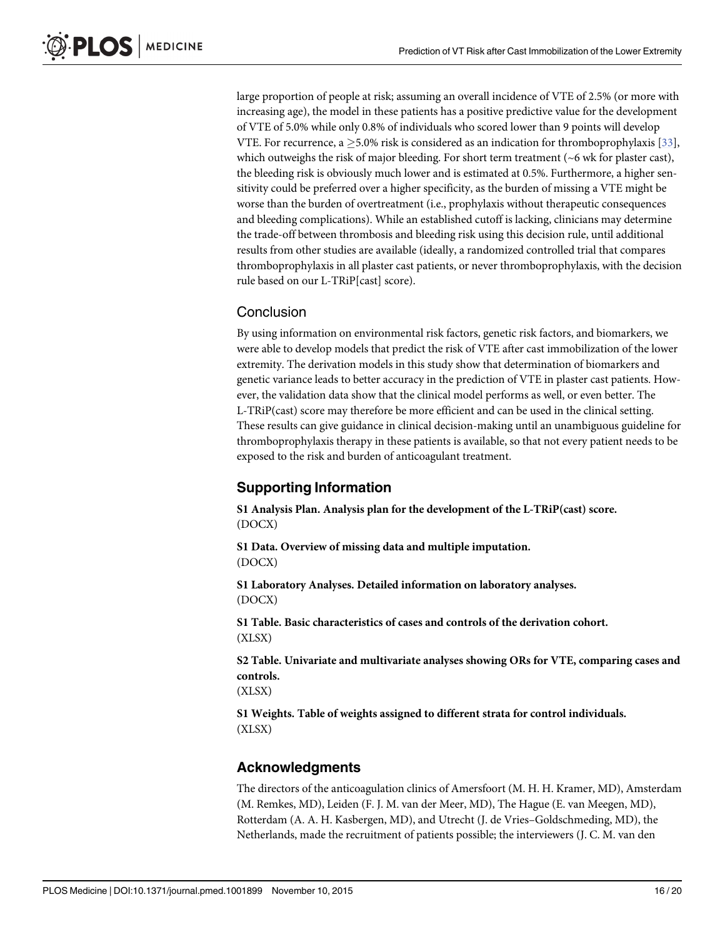<span id="page-15-0"></span>large proportion of people at risk; assuming an overall incidence of VTE of 2.5% (or more with increasing age), the model in these patients has a positive predictive value for the development of VTE of 5.0% while only 0.8% of individuals who scored lower than 9 points will develop VTE. For recurrence, a  $\geq$  5.0% risk is considered as an indication for thromboprophylaxis [\[33\]](#page-17-0), which outweighs the risk of major bleeding. For short term treatment ( $\sim$ 6 wk for plaster cast), the bleeding risk is obviously much lower and is estimated at 0.5%. Furthermore, a higher sensitivity could be preferred over a higher specificity, as the burden of missing a VTE might be worse than the burden of overtreatment (i.e., prophylaxis without therapeutic consequences and bleeding complications). While an established cutoff is lacking, clinicians may determine the trade-off between thrombosis and bleeding risk using this decision rule, until additional results from other studies are available (ideally, a randomized controlled trial that compares thromboprophylaxis in all plaster cast patients, or never thromboprophylaxis, with the decision rule based on our L-TRiP[cast] score).

### Conclusion

By using information on environmental risk factors, genetic risk factors, and biomarkers, we were able to develop models that predict the risk of VTE after cast immobilization of the lower extremity. The derivation models in this study show that determination of biomarkers and genetic variance leads to better accuracy in the prediction of VTE in plaster cast patients. However, the validation data show that the clinical model performs as well, or even better. The L-TRiP(cast) score may therefore be more efficient and can be used in the clinical setting. These results can give guidance in clinical decision-making until an unambiguous guideline for thromboprophylaxis therapy in these patients is available, so that not every patient needs to be exposed to the risk and burden of anticoagulant treatment.

### Supporting Information

[S1 Analysis Plan](http://www.plosone.org/article/fetchSingleRepresentation.action?uri=info:doi/10.1371/journal.pmed.1001899.s001). Analysis plan for the development of the L-TRiP(cast) score. (DOCX)

[S1 Data](http://www.plosone.org/article/fetchSingleRepresentation.action?uri=info:doi/10.1371/journal.pmed.1001899.s002). Overview of missing data and multiple imputation. (DOCX)

[S1 Laboratory Analyses.](http://www.plosone.org/article/fetchSingleRepresentation.action?uri=info:doi/10.1371/journal.pmed.1001899.s003) Detailed information on laboratory analyses. (DOCX)

[S1 Table](http://www.plosone.org/article/fetchSingleRepresentation.action?uri=info:doi/10.1371/journal.pmed.1001899.s004). Basic characteristics of cases and controls of the derivation cohort. (XLSX)

[S2 Table](http://www.plosone.org/article/fetchSingleRepresentation.action?uri=info:doi/10.1371/journal.pmed.1001899.s005). Univariate and multivariate analyses showing ORs for VTE, comparing cases and controls.

(XLSX)

[S1 Weights.](http://www.plosone.org/article/fetchSingleRepresentation.action?uri=info:doi/10.1371/journal.pmed.1001899.s006) Table of weights assigned to different strata for control individuals. (XLSX)

### Acknowledgments

The directors of the anticoagulation clinics of Amersfoort (M. H. H. Kramer, MD), Amsterdam (M. Remkes, MD), Leiden (F. J. M. van der Meer, MD), The Hague (E. van Meegen, MD), Rotterdam (A. A. H. Kasbergen, MD), and Utrecht (J. de Vries–Goldschmeding, MD), the Netherlands, made the recruitment of patients possible; the interviewers (J. C. M. van den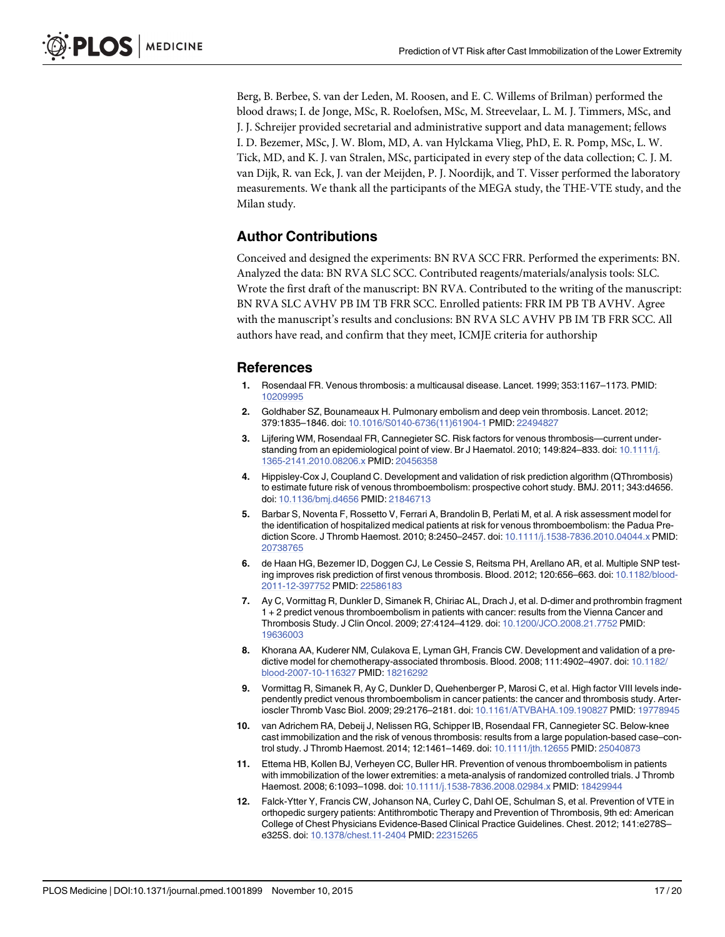<span id="page-16-0"></span>Berg, B. Berbee, S. van der Leden, M. Roosen, and E. C. Willems of Brilman) performed the blood draws; I. de Jonge, MSc, R. Roelofsen, MSc, M. Streevelaar, L. M. J. Timmers, MSc, and J. J. Schreijer provided secretarial and administrative support and data management; fellows I. D. Bezemer, MSc, J. W. Blom, MD, A. van Hylckama Vlieg, PhD, E. R. Pomp, MSc, L. W. Tick, MD, and K. J. van Stralen, MSc, participated in every step of the data collection; C. J. M. van Dijk, R. van Eck, J. van der Meijden, P. J. Noordijk, and T. Visser performed the laboratory measurements. We thank all the participants of the MEGA study, the THE-VTE study, and the Milan study.

# Author Contributions

Conceived and designed the experiments: BN RVA SCC FRR. Performed the experiments: BN. Analyzed the data: BN RVA SLC SCC. Contributed reagents/materials/analysis tools: SLC. Wrote the first draft of the manuscript: BN RVA. Contributed to the writing of the manuscript: BN RVA SLC AVHV PB IM TB FRR SCC. Enrolled patients: FRR IM PB TB AVHV. Agree with the manuscript's results and conclusions: BN RVA SLC AVHV PB IM TB FRR SCC. All authors have read, and confirm that they meet, ICMJE criteria for authorship

### References

- [1.](#page-1-0) Rosendaal FR. Venous thrombosis: a multicausal disease. Lancet. 1999; 353:1167–1173. PMID: [10209995](http://www.ncbi.nlm.nih.gov/pubmed/10209995)
- 2. Goldhaber SZ, Bounameaux H. Pulmonary embolism and deep vein thrombosis. Lancet. 2012; 379:1835–1846. doi: [10.1016/S0140-6736\(11\)61904-1](http://dx.doi.org/10.1016/S0140-6736(11)61904-1) PMID: [22494827](http://www.ncbi.nlm.nih.gov/pubmed/22494827)
- [3.](#page-1-0) Lijfering WM, Rosendaal FR, Cannegieter SC. Risk factors for venous thrombosis—current understanding from an epidemiological point of view. Br J Haematol. 2010; 149:824–833. doi: [10.1111/j.](http://dx.doi.org/10.1111/j.1365-2141.2010.08206.x) [1365-2141.2010.08206.x](http://dx.doi.org/10.1111/j.1365-2141.2010.08206.x) PMID: [20456358](http://www.ncbi.nlm.nih.gov/pubmed/20456358)
- [4.](#page-2-0) Hippisley-Cox J, Coupland C. Development and validation of risk prediction algorithm (QThrombosis) to estimate future risk of venous thromboembolism: prospective cohort study. BMJ. 2011; 343:d4656. doi: [10.1136/bmj.d4656](http://dx.doi.org/10.1136/bmj.d4656) PMID: [21846713](http://www.ncbi.nlm.nih.gov/pubmed/21846713)
- [5.](#page-2-0) Barbar S, Noventa F, Rossetto V, Ferrari A, Brandolin B, Perlati M, et al. A risk assessment model for the identification of hospitalized medical patients at risk for venous thromboembolism: the Padua Prediction Score. J Thromb Haemost. 2010; 8:2450–2457. doi: [10.1111/j.1538-7836.2010.04044.x](http://dx.doi.org/10.1111/j.1538-7836.2010.04044.x) PMID: [20738765](http://www.ncbi.nlm.nih.gov/pubmed/20738765)
- [6.](#page-2-0) de Haan HG, Bezemer ID, Doggen CJ, Le Cessie S, Reitsma PH, Arellano AR, et al. Multiple SNP testing improves risk prediction of first venous thrombosis. Blood. 2012; 120:656–663. doi: [10.1182/blood-](http://dx.doi.org/10.1182/blood-2011-12-397752)[2011-12-397752](http://dx.doi.org/10.1182/blood-2011-12-397752) PMID: [22586183](http://www.ncbi.nlm.nih.gov/pubmed/22586183)
- [7.](#page-2-0) Ay C, Vormittag R, Dunkler D, Simanek R, Chiriac AL, Drach J, et al. D-dimer and prothrombin fragment 1 + 2 predict venous thromboembolism in patients with cancer: results from the Vienna Cancer and Thrombosis Study. J Clin Oncol. 2009; 27:4124–4129. doi: [10.1200/JCO.2008.21.7752](http://dx.doi.org/10.1200/JCO.2008.21.7752) PMID: [19636003](http://www.ncbi.nlm.nih.gov/pubmed/19636003)
- 8. Khorana AA, Kuderer NM, Culakova E, Lyman GH, Francis CW. Development and validation of a pre-dictive model for chemotherapy-associated thrombosis. Blood. 2008; 111:4902-4907. doi: [10.1182/](http://dx.doi.org/10.1182/blood-2007-10-116327) [blood-2007-10-116327](http://dx.doi.org/10.1182/blood-2007-10-116327) PMID: [18216292](http://www.ncbi.nlm.nih.gov/pubmed/18216292)
- [9.](#page-2-0) Vormittag R, Simanek R, Ay C, Dunkler D, Quehenberger P, Marosi C, et al. High factor VIII levels independently predict venous thromboembolism in cancer patients: the cancer and thrombosis study. Arterioscler Thromb Vasc Biol. 2009; 29:2176–2181. doi: [10.1161/ATVBAHA.109.190827](http://dx.doi.org/10.1161/ATVBAHA.109.190827) PMID: [19778945](http://www.ncbi.nlm.nih.gov/pubmed/19778945)
- [10.](#page-2-0) van Adrichem RA, Debeij J, Nelissen RG, Schipper IB, Rosendaal FR, Cannegieter SC. Below-knee cast immobilization and the risk of venous thrombosis: results from a large population-based case–control study. J Thromb Haemost. 2014; 12:1461–1469. doi: [10.1111/jth.12655](http://dx.doi.org/10.1111/jth.12655) PMID: [25040873](http://www.ncbi.nlm.nih.gov/pubmed/25040873)
- [11.](#page-2-0) Ettema HB, Kollen BJ, Verheyen CC, Buller HR. Prevention of venous thromboembolism in patients with immobilization of the lower extremities: a meta-analysis of randomized controlled trials. J Thromb Haemost. 2008; 6:1093-1098. doi: [10.1111/j.1538-7836.2008.02984.x](http://dx.doi.org/10.1111/j.1538-7836.2008.02984.x) PMID: [18429944](http://www.ncbi.nlm.nih.gov/pubmed/18429944)
- [12.](#page-2-0) Falck-Ytter Y, Francis CW, Johanson NA, Curley C, Dahl OE, Schulman S, et al. Prevention of VTE in orthopedic surgery patients: Antithrombotic Therapy and Prevention of Thrombosis, 9th ed: American College of Chest Physicians Evidence-Based Clinical Practice Guidelines. Chest. 2012; 141:e278S– e325S. doi: [10.1378/chest.11-2404](http://dx.doi.org/10.1378/chest.11-2404) PMID: [22315265](http://www.ncbi.nlm.nih.gov/pubmed/22315265)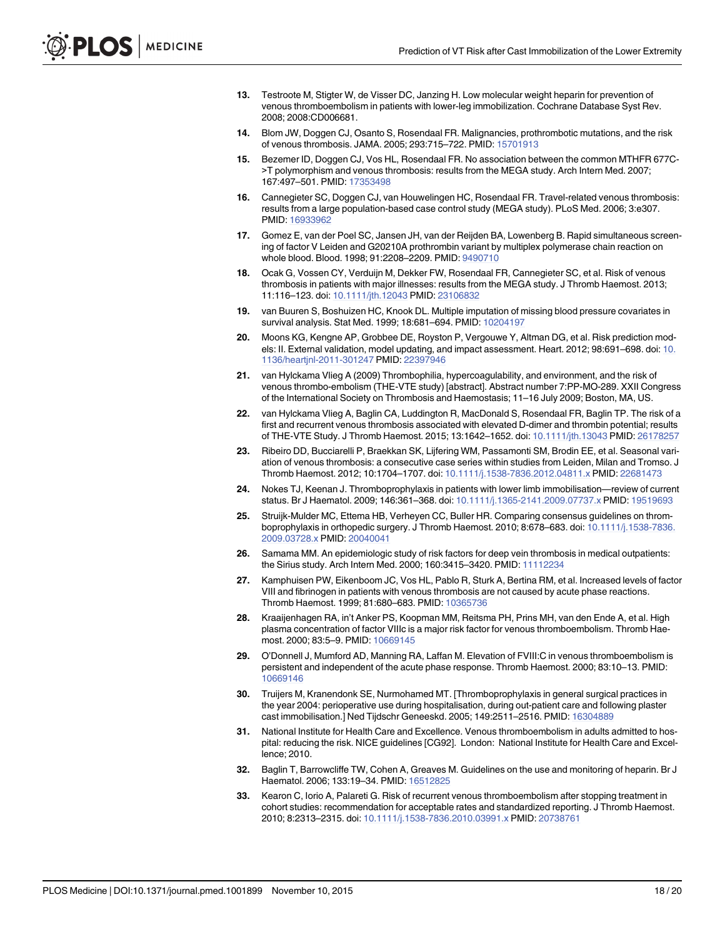- <span id="page-17-0"></span>[13.](#page-2-0) Testroote M, Stigter W, de Visser DC, Janzing H. Low molecular weight heparin for prevention of venous thromboembolism in patients with lower-leg immobilization. Cochrane Database Syst Rev. 2008; 2008:CD006681.
- [14.](#page-2-0) Blom JW, Doggen CJ, Osanto S, Rosendaal FR. Malignancies, prothrombotic mutations, and the risk of venous thrombosis. JAMA. 2005; 293:715–722. PMID: [15701913](http://www.ncbi.nlm.nih.gov/pubmed/15701913)
- 15. Bezemer ID, Doggen CJ, Vos HL, Rosendaal FR. No association between the common MTHFR 677C- >T polymorphism and venous thrombosis: results from the MEGA study. Arch Intern Med. 2007; 167:497–501. PMID: [17353498](http://www.ncbi.nlm.nih.gov/pubmed/17353498)
- [16.](#page-2-0) Cannegieter SC, Doggen CJ, van Houwelingen HC, Rosendaal FR. Travel-related venous thrombosis: results from a large population-based case control study (MEGA study). PLoS Med. 2006; 3:e307. PMID: [16933962](http://www.ncbi.nlm.nih.gov/pubmed/16933962)
- [17.](#page-3-0) Gomez E, van der Poel SC, Jansen JH, van der Reijden BA, Lowenberg B. Rapid simultaneous screening of factor V Leiden and G20210A prothrombin variant by multiplex polymerase chain reaction on whole blood. Blood. 1998; 91:2208–2209. PMID: [9490710](http://www.ncbi.nlm.nih.gov/pubmed/9490710)
- [18.](#page-3-0) Ocak G, Vossen CY, Verduijn M, Dekker FW, Rosendaal FR, Cannegieter SC, et al. Risk of venous thrombosis in patients with major illnesses: results from the MEGA study. J Thromb Haemost. 2013; 11:116–123. doi: [10.1111/jth.12043](http://dx.doi.org/10.1111/jth.12043) PMID: [23106832](http://www.ncbi.nlm.nih.gov/pubmed/23106832)
- [19.](#page-3-0) van Buuren S, Boshuizen HC, Knook DL. Multiple imputation of missing blood pressure covariates in survival analysis. Stat Med. 1999; 18:681–694. PMID: [10204197](http://www.ncbi.nlm.nih.gov/pubmed/10204197)
- [20.](#page-5-0) Moons KG, Kengne AP, Grobbee DE, Royston P, Vergouwe Y, Altman DG, et al. Risk prediction models: II. External validation, model updating, and impact assessment. Heart. 2012; 98:691–698. doi: [10.](http://dx.doi.org/10.1136/heartjnl-2011-301247) [1136/heartjnl-2011-301247](http://dx.doi.org/10.1136/heartjnl-2011-301247) PMID: [22397946](http://www.ncbi.nlm.nih.gov/pubmed/22397946)
- [21.](#page-7-0) van Hylckama Vlieg A (2009) Thrombophilia, hypercoagulability, and environment, and the risk of venous thrombo-embolism (THE-VTE study) [abstract]. Abstract number 7:PP-MO-289. XXII Congress of the International Society on Thrombosis and Haemostasis; 11–16 July 2009; Boston, MA, US.
- [22.](#page-7-0) van Hylckama Vlieg A, Baglin CA, Luddington R, MacDonald S, Rosendaal FR, Baglin TP. The risk of a first and recurrent venous thrombosis associated with elevated D-dimer and thrombin potential; results of THE-VTE Study. J Thromb Haemost. 2015; 13:1642–1652. doi: [10.1111/jth.13043](http://dx.doi.org/10.1111/jth.13043) PMID: [26178257](http://www.ncbi.nlm.nih.gov/pubmed/26178257)
- [23.](#page-7-0) Ribeiro DD, Bucciarelli P, Braekkan SK, Lijfering WM, Passamonti SM, Brodin EE, et al. Seasonal variation of venous thrombosis: a consecutive case series within studies from Leiden, Milan and Tromso. J Thromb Haemost. 2012; 10:1704-1707. doi: [10.1111/j.1538-7836.2012.04811.x](http://dx.doi.org/10.1111/j.1538-7836.2012.04811.x) PMID: [22681473](http://www.ncbi.nlm.nih.gov/pubmed/22681473)
- [24.](#page-12-0) Nokes TJ, Keenan J. Thromboprophylaxis in patients with lower limb immobilisation—review of current status. Br J Haematol. 2009; 146:361-368. doi: [10.1111/j.1365-2141.2009.07737.x](http://dx.doi.org/10.1111/j.1365-2141.2009.07737.x) PMID: [19519693](http://www.ncbi.nlm.nih.gov/pubmed/19519693)
- [25.](#page-12-0) Struijk-Mulder MC, Ettema HB, Verheyen CC, Buller HR. Comparing consensus guidelines on thromboprophylaxis in orthopedic surgery. J Thromb Haemost. 2010; 8:678–683. doi: [10.1111/j.1538-7836.](http://dx.doi.org/10.1111/j.1538-7836.2009.03728.x) [2009.03728.x](http://dx.doi.org/10.1111/j.1538-7836.2009.03728.x) PMID: [20040041](http://www.ncbi.nlm.nih.gov/pubmed/20040041)
- [26.](#page-13-0) Samama MM. An epidemiologic study of risk factors for deep vein thrombosis in medical outpatients: the Sirius study. Arch Intern Med. 2000; 160:3415–3420. PMID: [11112234](http://www.ncbi.nlm.nih.gov/pubmed/11112234)
- [27.](#page-14-0) Kamphuisen PW, Eikenboom JC, Vos HL, Pablo R, Sturk A, Bertina RM, et al. Increased levels of factor VIII and fibrinogen in patients with venous thrombosis are not caused by acute phase reactions. Thromb Haemost. 1999; 81:680–683. PMID: [10365736](http://www.ncbi.nlm.nih.gov/pubmed/10365736)
- [28.](#page-14-0) Kraaijenhagen RA, in't Anker PS, Koopman MM, Reitsma PH, Prins MH, van den Ende A, et al. High plasma concentration of factor VIIIc is a major risk factor for venous thromboembolism. Thromb Haemost. 2000; 83:5–9. PMID: [10669145](http://www.ncbi.nlm.nih.gov/pubmed/10669145)
- [29.](#page-14-0) O'Donnell J, Mumford AD, Manning RA, Laffan M. Elevation of FVIII:C in venous thromboembolism is persistent and independent of the acute phase response. Thromb Haemost. 2000; 83:10–13. PMID: [10669146](http://www.ncbi.nlm.nih.gov/pubmed/10669146)
- [30.](#page-14-0) Truijers M, Kranendonk SE, Nurmohamed MT. [Thromboprophylaxis in general surgical practices in the year 2004: perioperative use during hospitalisation, during out-patient care and following plaster cast immobilisation.] Ned Tijdschr Geneeskd. 2005; 149:2511–2516. PMID: [16304889](http://www.ncbi.nlm.nih.gov/pubmed/16304889)
- [31.](#page-14-0) National Institute for Health Care and Excellence. Venous thromboembolism in adults admitted to hospital: reducing the risk. NICE guidelines [CG92]. London: National Institute for Health Care and Excellence; 2010.
- [32.](#page-14-0) Baglin T, Barrowcliffe TW, Cohen A, Greaves M. Guidelines on the use and monitoring of heparin. Br J Haematol. 2006; 133:19–34. PMID: [16512825](http://www.ncbi.nlm.nih.gov/pubmed/16512825)
- [33.](#page-15-0) Kearon C, Iorio A, Palareti G. Risk of recurrent venous thromboembolism after stopping treatment in cohort studies: recommendation for acceptable rates and standardized reporting. J Thromb Haemost. 2010; 8:2313–2315. doi: [10.1111/j.1538-7836.2010.03991.x](http://dx.doi.org/10.1111/j.1538-7836.2010.03991.x) PMID: [20738761](http://www.ncbi.nlm.nih.gov/pubmed/20738761)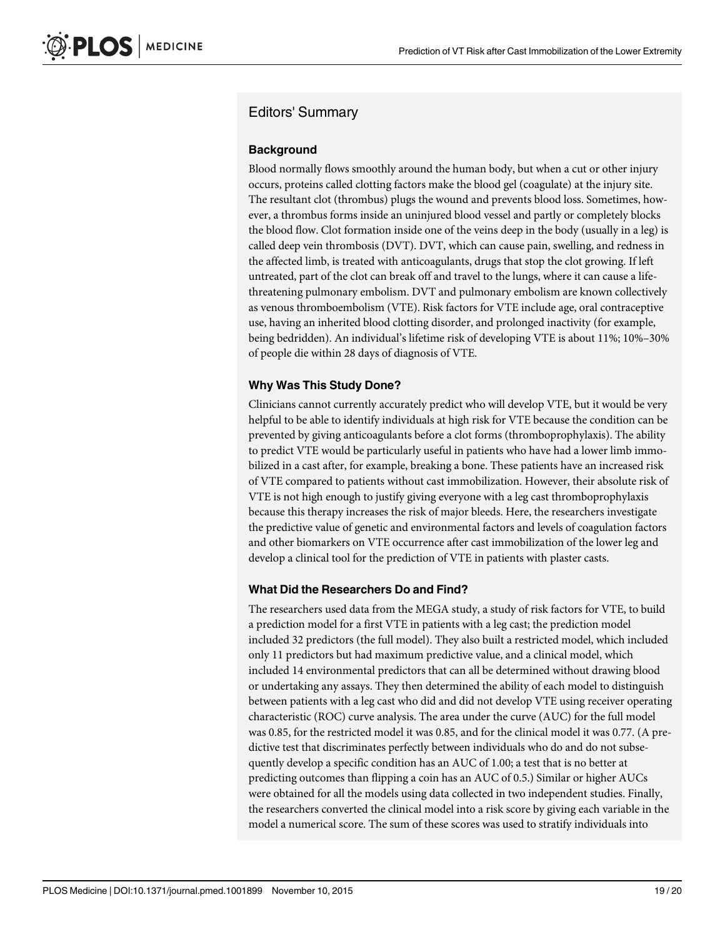# Editors' Summary

### **Background**

Blood normally flows smoothly around the human body, but when a cut or other injury occurs, proteins called clotting factors make the blood gel (coagulate) at the injury site. The resultant clot (thrombus) plugs the wound and prevents blood loss. Sometimes, however, a thrombus forms inside an uninjured blood vessel and partly or completely blocks the blood flow. Clot formation inside one of the veins deep in the body (usually in a leg) is called deep vein thrombosis (DVT). DVT, which can cause pain, swelling, and redness in the affected limb, is treated with anticoagulants, drugs that stop the clot growing. If left untreated, part of the clot can break off and travel to the lungs, where it can cause a lifethreatening pulmonary embolism. DVT and pulmonary embolism are known collectively as venous thromboembolism (VTE). Risk factors for VTE include age, oral contraceptive use, having an inherited blood clotting disorder, and prolonged inactivity (for example, being bedridden). An individual's lifetime risk of developing VTE is about 11%; 10%–30% of people die within 28 days of diagnosis of VTE.

### Why Was This Study Done?

Clinicians cannot currently accurately predict who will develop VTE, but it would be very helpful to be able to identify individuals at high risk for VTE because the condition can be prevented by giving anticoagulants before a clot forms (thromboprophylaxis). The ability to predict VTE would be particularly useful in patients who have had a lower limb immobilized in a cast after, for example, breaking a bone. These patients have an increased risk of VTE compared to patients without cast immobilization. However, their absolute risk of VTE is not high enough to justify giving everyone with a leg cast thromboprophylaxis because this therapy increases the risk of major bleeds. Here, the researchers investigate the predictive value of genetic and environmental factors and levels of coagulation factors and other biomarkers on VTE occurrence after cast immobilization of the lower leg and develop a clinical tool for the prediction of VTE in patients with plaster casts.

### What Did the Researchers Do and Find?

The researchers used data from the MEGA study, a study of risk factors for VTE, to build a prediction model for a first VTE in patients with a leg cast; the prediction model included 32 predictors (the full model). They also built a restricted model, which included only 11 predictors but had maximum predictive value, and a clinical model, which included 14 environmental predictors that can all be determined without drawing blood or undertaking any assays. They then determined the ability of each model to distinguish between patients with a leg cast who did and did not develop VTE using receiver operating characteristic (ROC) curve analysis. The area under the curve (AUC) for the full model was 0.85, for the restricted model it was 0.85, and for the clinical model it was 0.77. (A predictive test that discriminates perfectly between individuals who do and do not subsequently develop a specific condition has an AUC of 1.00; a test that is no better at predicting outcomes than flipping a coin has an AUC of 0.5.) Similar or higher AUCs were obtained for all the models using data collected in two independent studies. Finally, the researchers converted the clinical model into a risk score by giving each variable in the model a numerical score. The sum of these scores was used to stratify individuals into